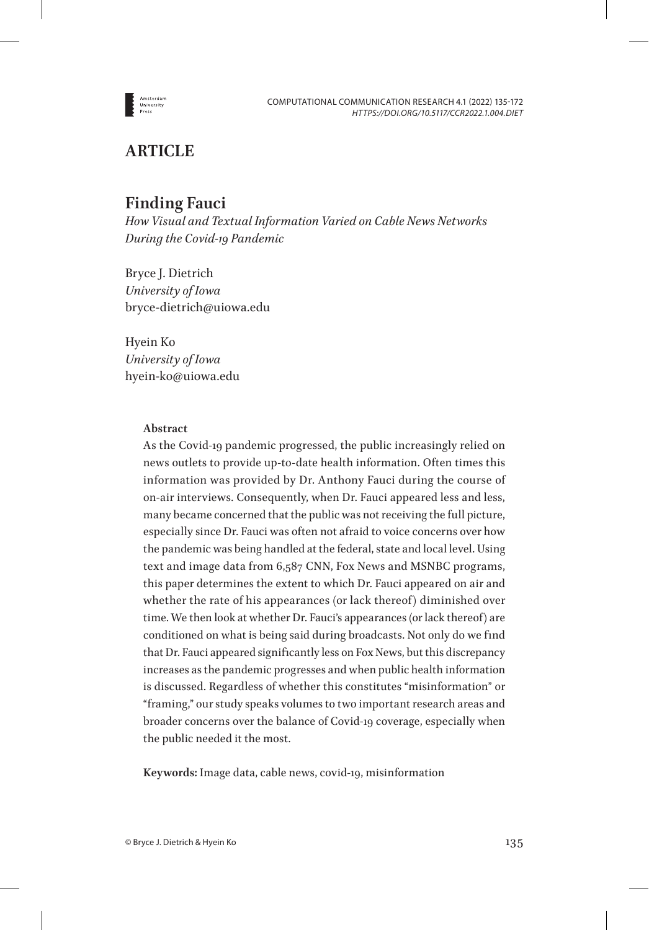

# **ARTICLE**

# **Finding Fauci**

*How Visual and Textual Information Varied on Cable News Networks During the Covid-19 Pandemic*

Bryce J. Dietrich *University of Iowa* bryce-dietrich@uiowa.edu

Hyein Ko *University of Iowa* hyein-ko@uiowa.edu

## **Abstract**

As the Covid-19 pandemic progressed, the public increasingly relied on news outlets to provide up-to-date health information. Often times this information was provided by Dr. Anthony Fauci during the course of on-air interviews. Consequently, when Dr. Fauci appeared less and less, many became concerned that the public was not receiving the full picture, especially since Dr. Fauci was often not afraid to voice concerns over how the pandemic was being handled at the federal, state and local level. Using text and image data from 6,587 CNN, Fox News and MSNBC programs, this paper determines the extent to which Dr. Fauci appeared on air and whether the rate of his appearances (or lack thereof) diminished over time. We then look at whether Dr. Fauci's appearances (or lack thereof) are conditioned on what is being said during broadcasts. Not only do we find that Dr. Fauci appeared significantly less on Fox News, but this discrepancy increases as the pandemic progresses and when public health information is discussed. Regardless of whether this constitutes "misinformation" or "framing," our study speaks volumes to two important research areas and broader concerns over the balance of Covid-19 coverage, especially when the public needed it the most.

**Keywords:** Image data, cable news, covid-19, misinformation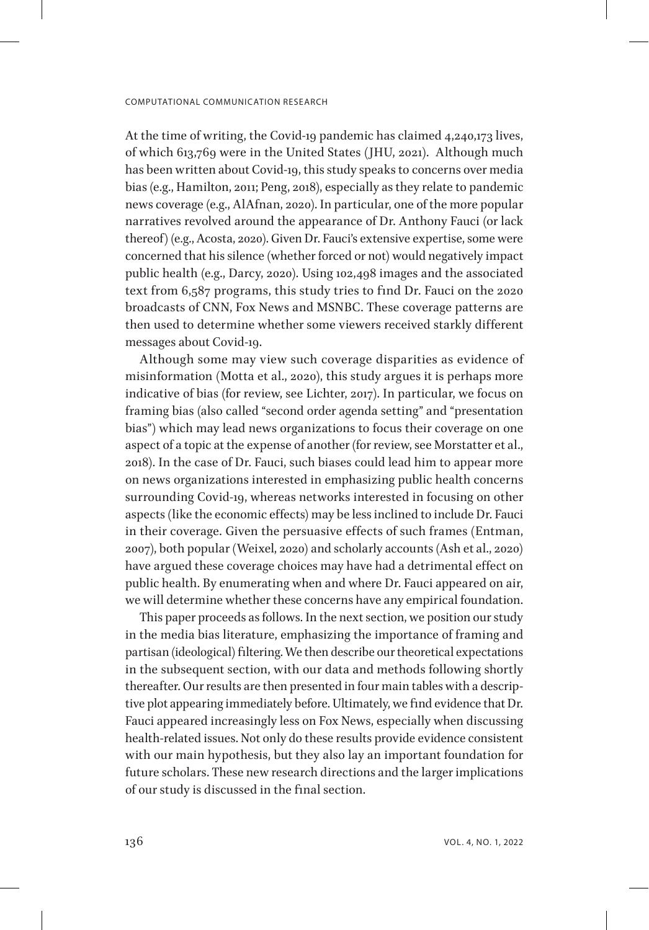At the time of writing, the Covid-19 pandemic has claimed 4,240,173 lives, of which 613,769 were in the United States (JHU, 2021). Although much has been written about Covid-19, this study speaks to concerns over media bias (e.g., Hamilton, 2011; Peng, 2018), especially as they relate to pandemic news coverage (e.g., AlAfnan, 2020). In particular, one of the more popular narratives revolved around the appearance of Dr. Anthony Fauci (or lack thereof) (e.g., Acosta, 2020). Given Dr. Fauci's extensive expertise, some were concerned that his silence (whether forced or not) would negatively impact public health (e.g., Darcy, 2020). Using 102,498 images and the associated text from 6,587 programs, this study tries to find Dr. Fauci on the 2020 broadcasts of CNN, Fox News and MSNBC. These coverage patterns are then used to determine whether some viewers received starkly different messages about Covid-19.

Although some may view such coverage disparities as evidence of misinformation (Motta et al., 2020), this study argues it is perhaps more indicative of bias (for review, see Lichter, 2017). In particular, we focus on framing bias (also called "second order agenda setting" and "presentation bias") which may lead news organizations to focus their coverage on one aspect of a topic at the expense of another (for review, see Morstatter et al., 2018). In the case of Dr. Fauci, such biases could lead him to appear more on news organizations interested in emphasizing public health concerns surrounding Covid-19, whereas networks interested in focusing on other aspects (like the economic effects) may be less inclined to include Dr. Fauci in their coverage. Given the persuasive effects of such frames (Entman, 2007), both popular (Weixel, 2020) and scholarly accounts (Ash et al., 2020) have argued these coverage choices may have had a detrimental effect on public health. By enumerating when and where Dr. Fauci appeared on air, we will determine whether these concerns have any empirical foundation.

This paper proceeds as follows. In the next section, we position our study in the media bias literature, emphasizing the importance of framing and partisan (ideological) filtering. We then describe our theoretical expectations in the subsequent section, with our data and methods following shortly thereafter. Our results are then presented in four main tables with a descriptive plot appearing immediately before. Ultimately, we find evidence that Dr. Fauci appeared increasingly less on Fox News, especially when discussing health-related issues. Not only do these results provide evidence consistent with our main hypothesis, but they also lay an important foundation for future scholars. These new research directions and the larger implications of our study is discussed in the final section.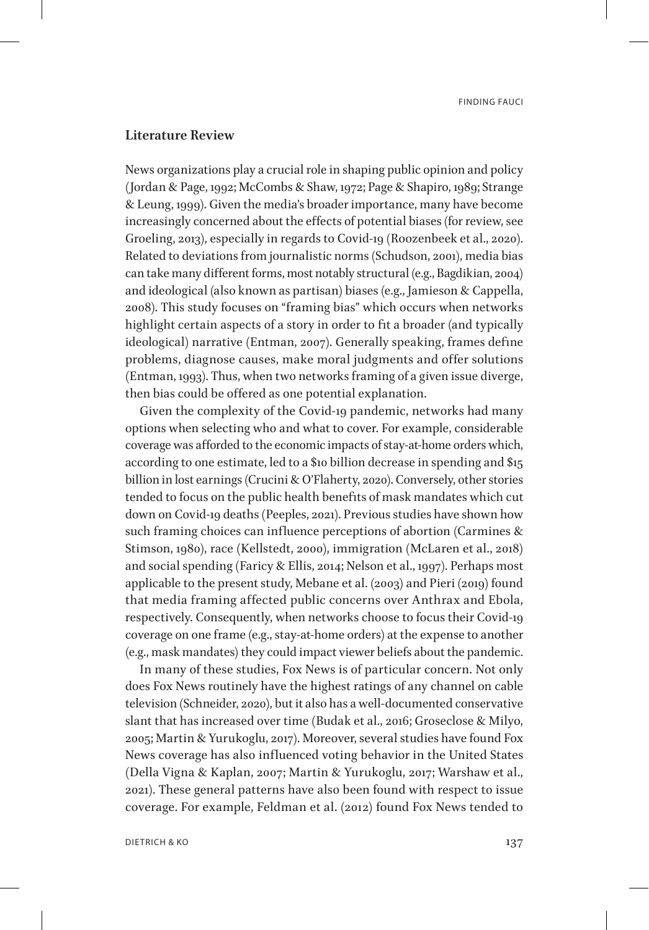## **Literature Review**

News organizations play a crucial role in shaping public opinion and policy (Jordan & Page, 1992; McCombs & Shaw, 1972; Page & Shapiro, 1989; Strange & Leung, 1999). Given the media's broader importance, many have become increasingly concerned about the effects of potential biases (for review, see Groeling, 2013), especially in regards to Covid-19 (Roozenbeek et al., 2020). Related to deviations from journalistic norms (Schudson, 2001), media bias can take many different forms, most notably structural (e.g., Bagdikian, 2004) and ideological (also known as partisan) biases (e.g., Jamieson & Cappella, 2008). This study focuses on "framing bias" which occurs when networks highlight certain aspects of a story in order to fit a broader (and typically ideological) narrative (Entman, 2007). Generally speaking, frames define problems, diagnose causes, make moral judgments and offer solutions (Entman, 1993). Thus, when two networks framing of a given issue diverge, then bias could be offered as one potential explanation.

Given the complexity of the Covid-19 pandemic, networks had many options when selecting who and what to cover. For example, considerable coverage was afforded to the economic impacts of stay-at-home orders which, according to one estimate, led to a \$10 billion decrease in spending and \$15 billion in lost earnings (Crucini & O'Flaherty, 2020). Conversely, other stories tended to focus on the public health benefits of mask mandates which cut down on Covid-19 deaths (Peeples, 2021). Previous studies have shown how such framing choices can influence perceptions of abortion (Carmines & Stimson, 1980), race (Kellstedt, 2000), immigration (McLaren et al., 2018) and social spending (Faricy & Ellis, 2014; Nelson et al., 1997). Perhaps most applicable to the present study, Mebane et al. (2003) and Pieri (2019) found that media framing affected public concerns over Anthrax and Ebola, respectively. Consequently, when networks choose to focus their Covid-19 coverage on one frame (e.g., stay-at-home orders) at the expense to another (e.g., mask mandates) they could impact viewer beliefs about the pandemic.

In many of these studies, Fox News is of particular concern. Not only does Fox News routinely have the highest ratings of any channel on cable television (Schneider, 2020), but it also has a well-documented conservative slant that has increased over time (Budak et al., 2016; Groseclose & Milyo, 2005; Martin & Yurukoglu, 2017). Moreover, several studies have found Fox News coverage has also influenced voting behavior in the United States (Della Vigna & Kaplan, 2007; Martin & Yurukoglu, 2017; Warshaw et al., 2021). These general patterns have also been found with respect to issue coverage. For example, Feldman et al. (2012) found Fox News tended to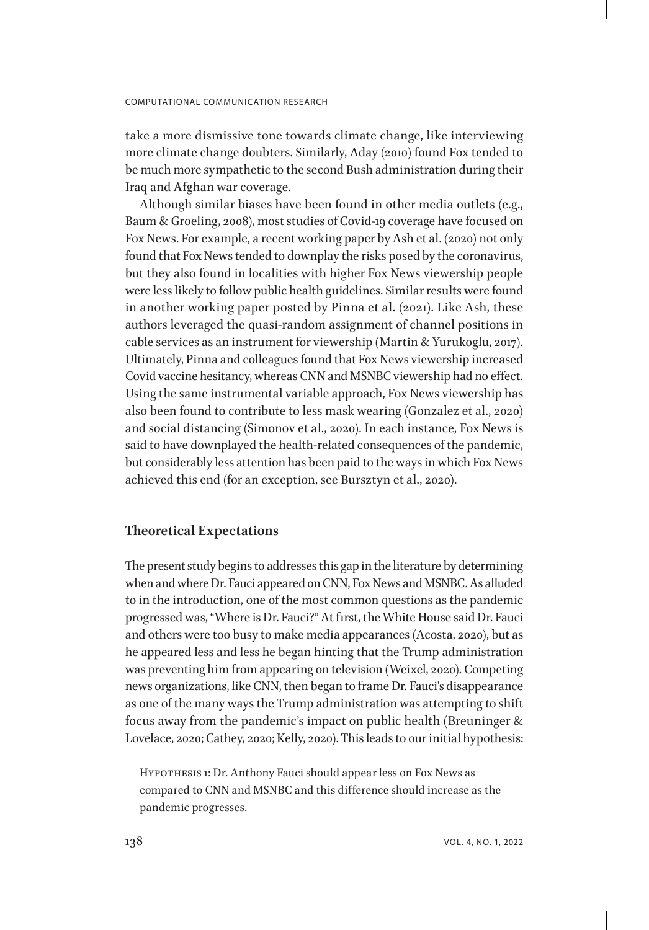take a more dismissive tone towards climate change, like interviewing more climate change doubters. Similarly, Aday (2010) found Fox tended to be much more sympathetic to the second Bush administration during their Iraq and Afghan war coverage.

Although similar biases have been found in other media outlets (e.g., Baum & Groeling, 2008), most studies of Covid-19 coverage have focused on Fox News. For example, a recent working paper by Ash et al. (2020) not only found that Fox News tended to downplay the risks posed by the coronavirus, but they also found in localities with higher Fox News viewership people were less likely to follow public health guidelines. Similar results were found in another working paper posted by Pinna et al. (2021). Like Ash, these authors leveraged the quasi-random assignment of channel positions in cable services as an instrument for viewership (Martin & Yurukoglu, 2017). Ultimately, Pinna and colleagues found that Fox News viewership increased Covid vaccine hesitancy, whereas CNN and MSNBC viewership had no effect. Using the same instrumental variable approach, Fox News viewership has also been found to contribute to less mask wearing (Gonzalez et al., 2020) and social distancing (Simonov et al., 2020). In each instance, Fox News is said to have downplayed the health-related consequences of the pandemic, but considerably less attention has been paid to the ways in which Fox News achieved this end (for an exception, see Bursztyn et al., 2020).

## **Theoretical Expectations**

The present study begins to addresses this gap in the literature by determining when and where Dr. Fauci appeared on CNN, Fox News and MSNBC. As alluded to in the introduction, one of the most common questions as the pandemic progressed was, "Where is Dr. Fauci?" At first, the White House said Dr. Fauci and others were too busy to make media appearances (Acosta, 2020), but as he appeared less and less he began hinting that the Trump administration was preventing him from appearing on television (Weixel, 2020). Competing news organizations, like CNN, then began to frame Dr. Fauci's disappearance as one of the many ways the Trump administration was attempting to shift focus away from the pandemic's impact on public health (Breuninger & Lovelace, 2020; Cathey, 2020; Kelly, 2020). This leads to our initial hypothesis:

HYPOTHESIS 1: Dr. Anthony Fauci should appear less on Fox News as compared to CNN and MSNBC and this difference should increase as the pandemic progresses.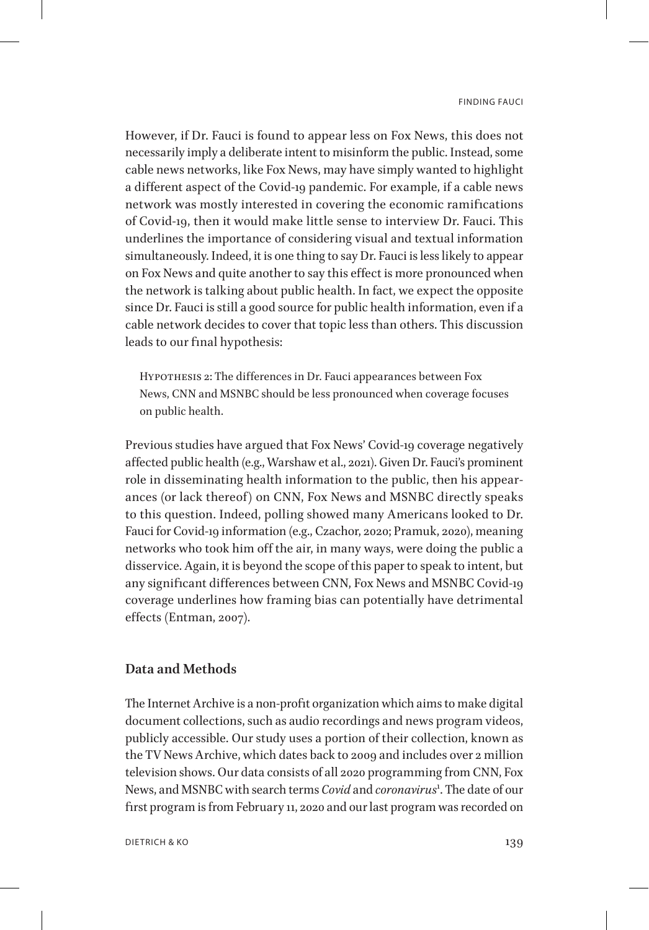However, if Dr. Fauci is found to appear less on Fox News, this does not necessarily imply a deliberate intent to misinform the public. Instead, some cable news networks, like Fox News, may have simply wanted to highlight a different aspect of the Covid-19 pandemic. For example, if a cable news network was mostly interested in covering the economic ramifications of Covid-19, then it would make little sense to interview Dr. Fauci. This underlines the importance of considering visual and textual information simultaneously. Indeed, it is one thing to say Dr. Fauci is less likely to appear on Fox News and quite another to say this effect is more pronounced when the network is talking about public health. In fact, we expect the opposite since Dr. Fauci is still a good source for public health information, even if a cable network decides to cover that topic less than others. This discussion leads to our final hypothesis:

Hypothesis 2: The differences in Dr. Fauci appearances between Fox News, CNN and MSNBC should be less pronounced when coverage focuses on public health.

Previous studies have argued that Fox News' Covid-19 coverage negatively affected public health (e.g., Warshaw et al., 2021). Given Dr. Fauci's prominent role in disseminating health information to the public, then his appearances (or lack thereof) on CNN, Fox News and MSNBC directly speaks to this question. Indeed, polling showed many Americans looked to Dr. Fauci for Covid-19 information (e.g., Czachor, 2020; Pramuk, 2020), meaning networks who took him off the air, in many ways, were doing the public a disservice. Again, it is beyond the scope of this paper to speak to intent, but any significant differences between CNN, Fox News and MSNBC Covid-19 coverage underlines how framing bias can potentially have detrimental effects (Entman, 2007).

# **Data and Methods**

The Internet Archive is a non-profit organization which aims to make digital document collections, such as audio recordings and news program videos, publicly accessible. Our study uses a portion of their collection, known as the TV News Archive, which dates back to 2009 and includes over 2 million television shows. Our data consists of all 2020 programming from CNN, Fox News, and MSNBC with search terms *Covid* and *coronavirus*[1](#page-33-0) . The date of our first program is from February 11, 2020 and our last program was recorded on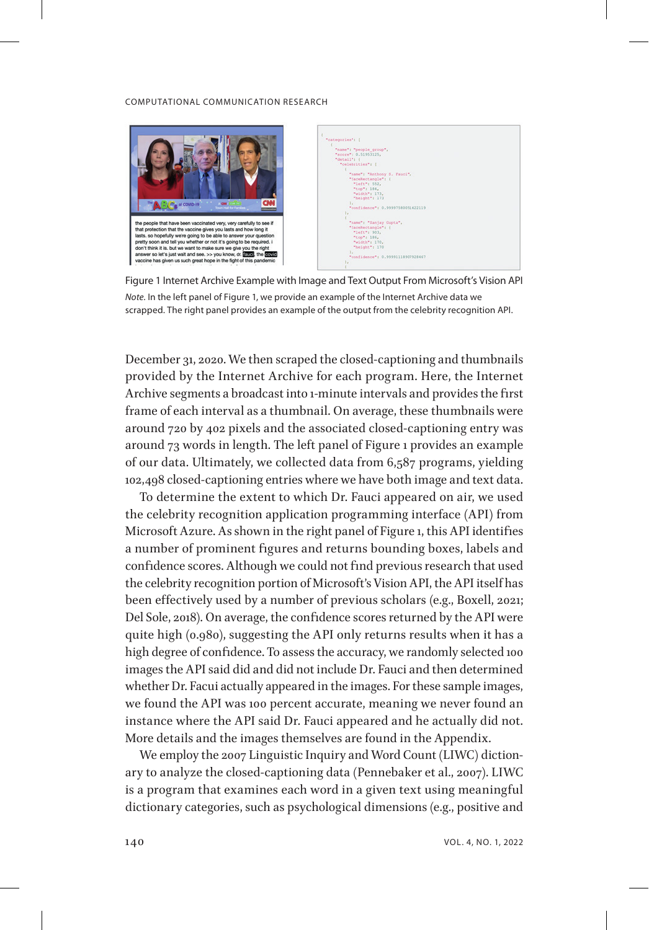

| ×                                 |  |
|-----------------------------------|--|
| "categories": {                   |  |
|                                   |  |
| "name": "people group",           |  |
| "score": 0.51953125,              |  |
| "detail": {                       |  |
| "celebrities": [                  |  |
|                                   |  |
| "name": "Anthony S. Fauci",       |  |
| "faceRectangle": {                |  |
| "left": 552,                      |  |
| "tee": 184,                       |  |
| "width": $173$ ,                  |  |
| "height" : 173"                   |  |
| 11                                |  |
| "confidence": 0.99997580051422119 |  |
| $1+1$                             |  |
|                                   |  |
| "name": "Sanjay Gupta",           |  |
| "faceRectangle": {                |  |
| "left": 903.                      |  |
| "top": 186,                       |  |
| "width": 170,                     |  |
| "height": 170                     |  |
| 14                                |  |
| "confidence": 0.99991118907928467 |  |
| h.                                |  |
|                                   |  |
|                                   |  |

Figure 1 Internet Archive Example with Image and Text Output From Microsoft's Vision API *Note.* In the left panel of Figure 1, we provide an example of the Internet Archive data we scrapped. The right panel provides an example of the output from the celebrity recognition API.

December 31, 2020. We then scraped the closed-captioning and thumbnails provided by the Internet Archive for each program. Here, the Internet Archive segments a broadcast into 1-minute intervals and provides the first frame of each interval as a thumbnail. On average, these thumbnails were around 720 by 402 pixels and the associated closed-captioning entry was around 73 words in length. The left panel of Figure 1 provides an example of our data. Ultimately, we collected data from 6,587 programs, yielding 102,498 closed-captioning entries where we have both image and text data.

To determine the extent to which Dr. Fauci appeared on air, we used the celebrity recognition application programming interface (API) from Microsoft Azure. As shown in the right panel of Figure 1, this API identifies a number of prominent figures and returns bounding boxes, labels and confidence scores. Although we could not find previous research that used the celebrity recognition portion of Microsoft's Vision API, the API itself has been effectively used by a number of previous scholars (e.g., Boxell, 2021; Del Sole, 2018). On average, the confidence scores returned by the API were quite high (0.980), suggesting the API only returns results when it has a high degree of confidence. To assess the accuracy, we randomly selected 100 images the API said did and did not include Dr. Fauci and then determined whether Dr. Facui actually appeared in the images. For these sample images, we found the API was 100 percent accurate, meaning we never found an instance where the API said Dr. Fauci appeared and he actually did not. More details and the images themselves are found in the Appendix.

We employ the 2007 Linguistic Inquiry and Word Count (LIWC) dictionary to analyze the closed-captioning data (Pennebaker et al., 2007). LIWC is a program that examines each word in a given text using meaningful dictionary categories, such as psychological dimensions (e.g., positive and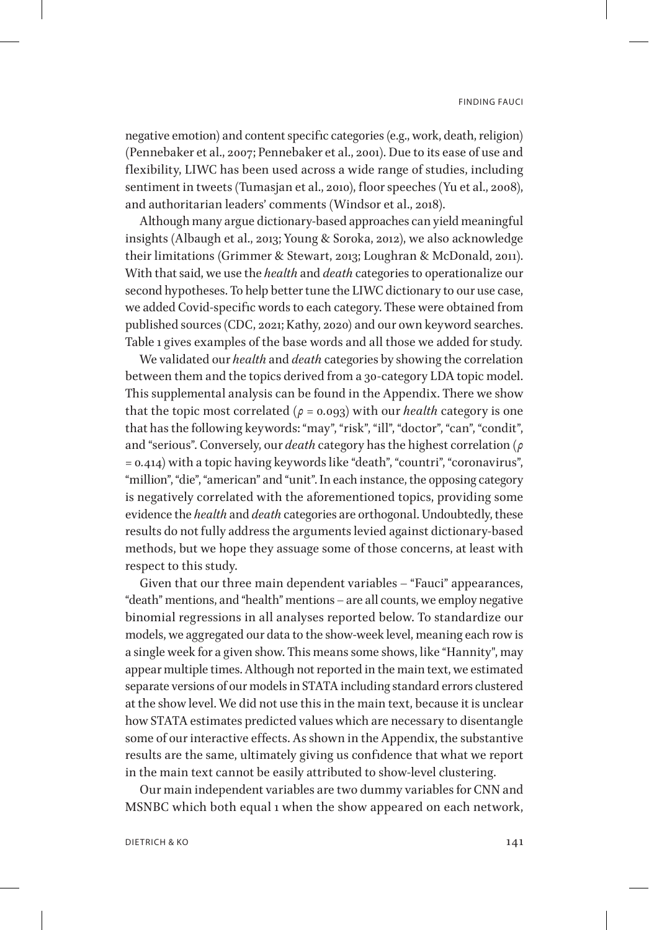negative emotion) and content specific categories (e.g., work, death, religion) (Pennebaker et al., 2007; Pennebaker et al., 2001). Due to its ease of use and flexibility, LIWC has been used across a wide range of studies, including sentiment in tweets (Tumasjan et al., 2010), floor speeches (Yu et al., 2008), and authoritarian leaders' comments (Windsor et al., 2018).

Although many argue dictionary-based approaches can yield meaningful insights (Albaugh et al., 2013; Young & Soroka, 2012), we also acknowledge their limitations (Grimmer & Stewart, 2013; Loughran & McDonald, 2011). With that said, we use the *health* and *death* categories to operationalize our second hypotheses. To help better tune the LIWC dictionary to our use case, we added Covid-specific words to each category. These were obtained from published sources (CDC, 2021; Kathy, 2020) and our own keyword searches. Table 1 gives examples of the base words and all those we added for study.

We validated our *health* and *death* categories by showing the correlation between them and the topics derived from a 30-category LDA topic model. This supplemental analysis can be found in the Appendix. There we show that the topic most correlated ( $\rho = 0.093$ ) with our *health* category is one that has the following keywords: "may", "risk", "ill", "doctor", "can", "condit", and "serious". Conversely, our *death* category has the highest correlation (*ρ* = 0*.*414) with a topic having keywords like "death", "countri", "coronavirus", "million", "die", "american" and "unit". In each instance, the opposing category is negatively correlated with the aforementioned topics, providing some evidence the *health* and *death* categories are orthogonal. Undoubtedly, these results do not fully address the arguments levied against dictionary-based methods, but we hope they assuage some of those concerns, at least with respect to this study.

Given that our three main dependent variables – "Fauci" appearances, "death" mentions, and "health" mentions – are all counts, we employ negative binomial regressions in all analyses reported below. To standardize our models, we aggregated our data to the show-week level, meaning each row is a single week for a given show. This means some shows, like "Hannity", may appear multiple times. Although not reported in the main text, we estimated separate versions of our models in STATA including standard errors clustered at the show level. We did not use this in the main text, because it is unclear how STATA estimates predicted values which are necessary to disentangle some of our interactive effects. As shown in the Appendix, the substantive results are the same, ultimately giving us confidence that what we report in the main text cannot be easily attributed to show-level clustering.

Our main independent variables are two dummy variables for CNN and MSNBC which both equal 1 when the show appeared on each network,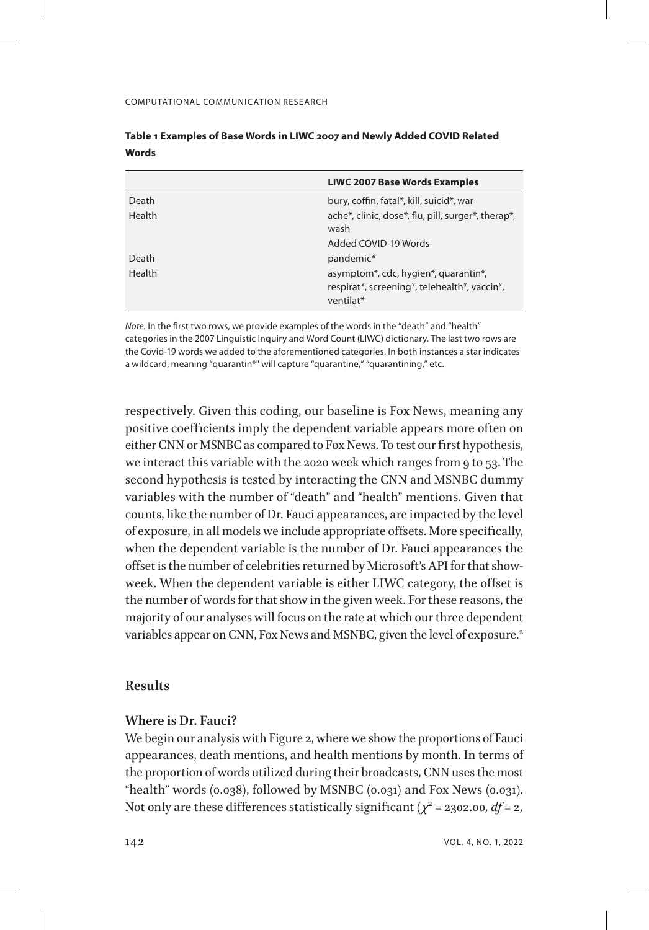|               | <b>LIWC 2007 Base Words Examples</b>                                                              |
|---------------|---------------------------------------------------------------------------------------------------|
| Death         | bury, coffin, fatal*, kill, suicid*, war                                                          |
| <b>Health</b> | ache*, clinic, dose*, flu, pill, surger*, therap*,<br>wash                                        |
|               | Added COVID-19 Words                                                                              |
| Death         | pandemic*                                                                                         |
| <b>Health</b> | asymptom*, cdc, hygien*, quarantin*,<br>respirat*, screening*, telehealth*, vaccin*,<br>ventilat* |

| Table 1 Examples of Base Words in LIWC 2007 and Newly Added COVID Related |  |
|---------------------------------------------------------------------------|--|
| Words                                                                     |  |

*Note.* In the first two rows, we provide examples of the words in the "death" and "health" categories in the 2007 Linguistic Inquiry and Word Count (LIWC) dictionary. The last two rows are the Covid-19 words we added to the aforementioned categories. In both instances a star indicates a wildcard, meaning "quarantin\*" will capture "quarantine," "quarantining," etc.

respectively. Given this coding, our baseline is Fox News, meaning any positive coefficients imply the dependent variable appears more often on either CNN or MSNBC as compared to Fox News. To test our first hypothesis, we interact this variable with the 2020 week which ranges from 9 to 53. The second hypothesis is tested by interacting the CNN and MSNBC dummy variables with the number of "death" and "health" mentions. Given that counts, like the number of Dr. Fauci appearances, are impacted by the level of exposure, in all models we include appropriate offsets. More specifically, when the dependent variable is the number of Dr. Fauci appearances the offset is the number of celebrities returned by Microsoft's API for that showweek. When the dependent variable is either LIWC category, the offset is the number of words for that show in the given week. For these reasons, the majority of our analyses will focus on the rate at which our three dependent variables appear on CNN, Fox News and MSNBC, given the level of exposure.<sup>[2](#page-33-1)</sup>

## **Results**

## **Where is Dr. Fauci?**

We begin our analysis with Figure 2, where we show the proportions of Fauci appearances, death mentions, and health mentions by month. In terms of the proportion of words utilized during their broadcasts, CNN uses the most "health" words (0.038), followed by MSNBC (0.031) and Fox News (0.031). Not only are these differences statistically significant ( $\chi^2$  = 2302.00*, df* = 2*,*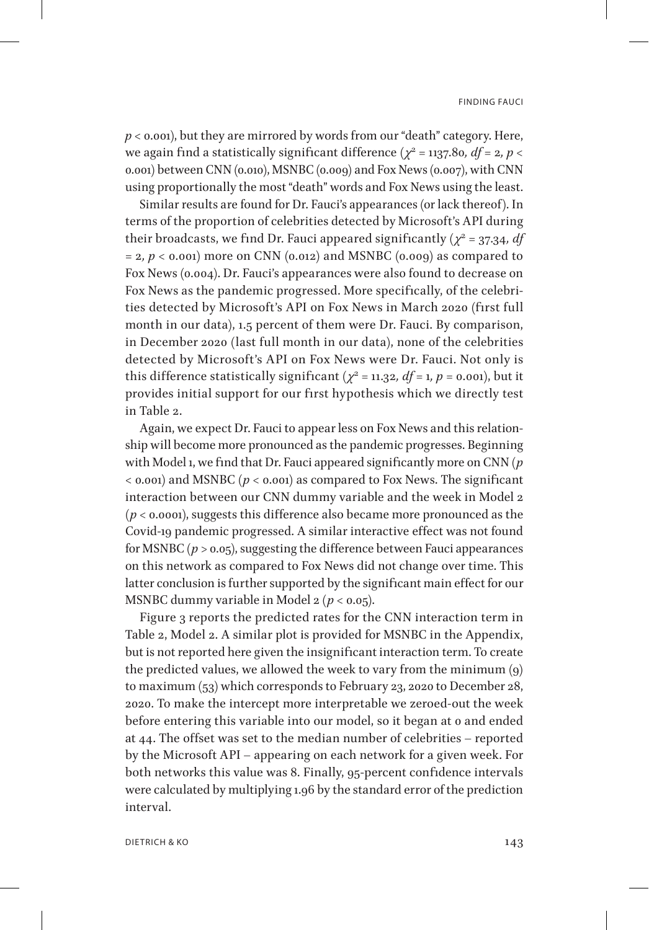*p <* 0.001), but they are mirrored by words from our "death" category. Here, we again find a statistically significant difference ( $\chi^2$  = 1137.80*, df* = 2*, p* < 0.001) between CNN (0.010), MSNBC (0.009) and Fox News (0.007), with CNN using proportionally the most "death" words and Fox News using the least.

Similar results are found for Dr. Fauci's appearances (or lack thereof). In terms of the proportion of celebrities detected by Microsoft's API during their broadcasts, we find Dr. Fauci appeared significantly ( $\chi^2$  = 37.34*, df* = 2*, p <* 0.001) more on CNN (0.012) and MSNBC (0.009) as compared to Fox News (0.004). Dr. Fauci's appearances were also found to decrease on Fox News as the pandemic progressed. More specifically, of the celebrities detected by Microsoft's API on Fox News in March 2020 (first full month in our data), 1.5 percent of them were Dr. Fauci. By comparison, in December 2020 (last full month in our data), none of the celebrities detected by Microsoft's API on Fox News were Dr. Fauci. Not only is this difference statistically significant ( $\chi^2$  = 11.32*, df* = 1*, p* = 0.001), but it provides initial support for our first hypothesis which we directly test in Table 2.

Again, we expect Dr. Fauci to appear less on Fox News and this relationship will become more pronounced as the pandemic progresses. Beginning with Model 1, we find that Dr. Fauci appeared significantly more on CNN (*p <* 0.001) and MSNBC (*p <* 0.001) as compared to Fox News. The significant interaction between our CNN dummy variable and the week in Model 2 (*p <* 0.0001), suggests this difference also became more pronounced as the Covid-19 pandemic progressed. A similar interactive effect was not found for MSNBC (*p >* 0.05), suggesting the difference between Fauci appearances on this network as compared to Fox News did not change over time. This latter conclusion is further supported by the significant main effect for our MSNBC dummy variable in Model 2 (*p <* 0.05).

Figure 3 reports the predicted rates for the CNN interaction term in Table 2, Model 2. A similar plot is provided for MSNBC in the Appendix, but is not reported here given the insignificant interaction term. To create the predicted values, we allowed the week to vary from the minimum (9) to maximum (53) which corresponds to February 23, 2020 to December 28, 2020. To make the intercept more interpretable we zeroed-out the week before entering this variable into our model, so it began at 0 and ended at 44. The offset was set to the median number of celebrities – reported by the Microsoft API – appearing on each network for a given week. For both networks this value was 8. Finally, 95-percent confidence intervals were calculated by multiplying 1.96 by the standard error of the prediction interval.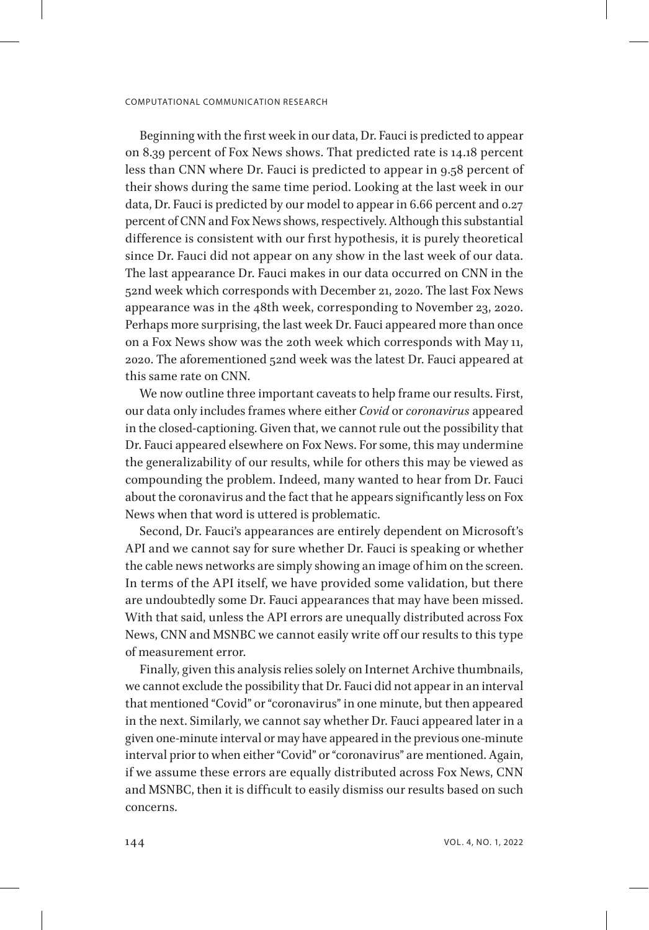Beginning with the first week in our data, Dr. Fauci is predicted to appear on 8.39 percent of Fox News shows. That predicted rate is 14.18 percent less than CNN where Dr. Fauci is predicted to appear in 9.58 percent of their shows during the same time period. Looking at the last week in our data, Dr. Fauci is predicted by our model to appear in 6.66 percent and 0.27 percent of CNN and Fox News shows, respectively. Although this substantial difference is consistent with our first hypothesis, it is purely theoretical since Dr. Fauci did not appear on any show in the last week of our data. The last appearance Dr. Fauci makes in our data occurred on CNN in the 52nd week which corresponds with December 21, 2020. The last Fox News appearance was in the 48th week, corresponding to November 23, 2020. Perhaps more surprising, the last week Dr. Fauci appeared more than once on a Fox News show was the 20th week which corresponds with May 11, 2020. The aforementioned 52nd week was the latest Dr. Fauci appeared at this same rate on CNN.

We now outline three important caveats to help frame our results. First, our data only includes frames where either *Covid* or *coronavirus* appeared in the closed-captioning. Given that, we cannot rule out the possibility that Dr. Fauci appeared elsewhere on Fox News. For some, this may undermine the generalizability of our results, while for others this may be viewed as compounding the problem. Indeed, many wanted to hear from Dr. Fauci about the coronavirus and the fact that he appears significantly less on Fox News when that word is uttered is problematic.

Second, Dr. Fauci's appearances are entirely dependent on Microsoft's API and we cannot say for sure whether Dr. Fauci is speaking or whether the cable news networks are simply showing an image of him on the screen. In terms of the API itself, we have provided some validation, but there are undoubtedly some Dr. Fauci appearances that may have been missed. With that said, unless the API errors are unequally distributed across Fox News, CNN and MSNBC we cannot easily write off our results to this type of measurement error.

Finally, given this analysis relies solely on Internet Archive thumbnails, we cannot exclude the possibility that Dr. Fauci did not appear in an interval that mentioned "Covid" or "coronavirus" in one minute, but then appeared in the next. Similarly, we cannot say whether Dr. Fauci appeared later in a given one-minute interval or may have appeared in the previous one-minute interval prior to when either "Covid" or "coronavirus" are mentioned. Again, if we assume these errors are equally distributed across Fox News, CNN and MSNBC, then it is difficult to easily dismiss our results based on such concerns.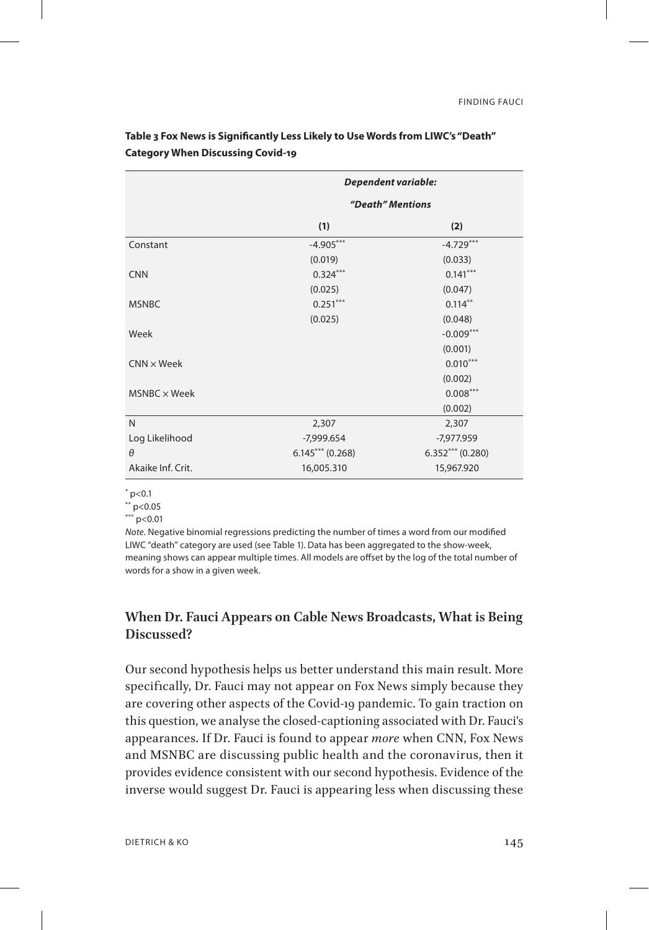|                     | Dependent variable: |                    |  |  |
|---------------------|---------------------|--------------------|--|--|
|                     | "Death" Mentions    |                    |  |  |
|                     | (1)<br>(2)          |                    |  |  |
| Constant            | $-4.905***$         | $-4.729***$        |  |  |
|                     | (0.019)             | (0.033)            |  |  |
| <b>CNN</b>          | $0.324***$          | $0.141***$         |  |  |
|                     | (0.025)             | (0.047)            |  |  |
| <b>MSNBC</b>        | $0.251***$          | $0.114***$         |  |  |
|                     | (0.025)             | (0.048)            |  |  |
| Week                |                     | $-0.009***$        |  |  |
|                     |                     | (0.001)            |  |  |
| $CNN \times Week$   |                     | $0.010***$         |  |  |
|                     |                     | (0.002)            |  |  |
| $MSNBC \times Week$ |                     | $0.008***$         |  |  |
|                     |                     | (0.002)            |  |  |
| $\mathsf{N}$        | 2,307               | 2,307              |  |  |
| Log Likelihood      | $-7,999.654$        | -7,977.959         |  |  |
| $\theta$            | $6.145***(0.268)$   | $6.352***$ (0.280) |  |  |
| Akaike Inf. Crit.   | 16,005.310          | 15,967.920         |  |  |

**Table 3 Fox News is Significantly Less Likely to Use Words from LIWC's "Death" Category When Discussing Covid-19**

 $*$  p<0.1

 $*$  p<0.05

 $***$  p<0.01

*Note.* Negative binomial regressions predicting the number of times a word from our modified LIWC "death" category are used (see Table 1). Data has been aggregated to the show-week, meaning shows can appear multiple times. All models are offset by the log of the total number of words for a show in a given week.

# **When Dr. Fauci Appears on Cable News Broadcasts, What is Being Discussed?**

Our second hypothesis helps us better understand this main result. More specifically, Dr. Fauci may not appear on Fox News simply because they are covering other aspects of the Covid-19 pandemic. To gain traction on this question, we analyse the closed-captioning associated with Dr. Fauci's appearances. If Dr. Fauci is found to appear *more* when CNN, Fox News and MSNBC are discussing public health and the coronavirus, then it provides evidence consistent with our second hypothesis. Evidence of the inverse would suggest Dr. Fauci is appearing less when discussing these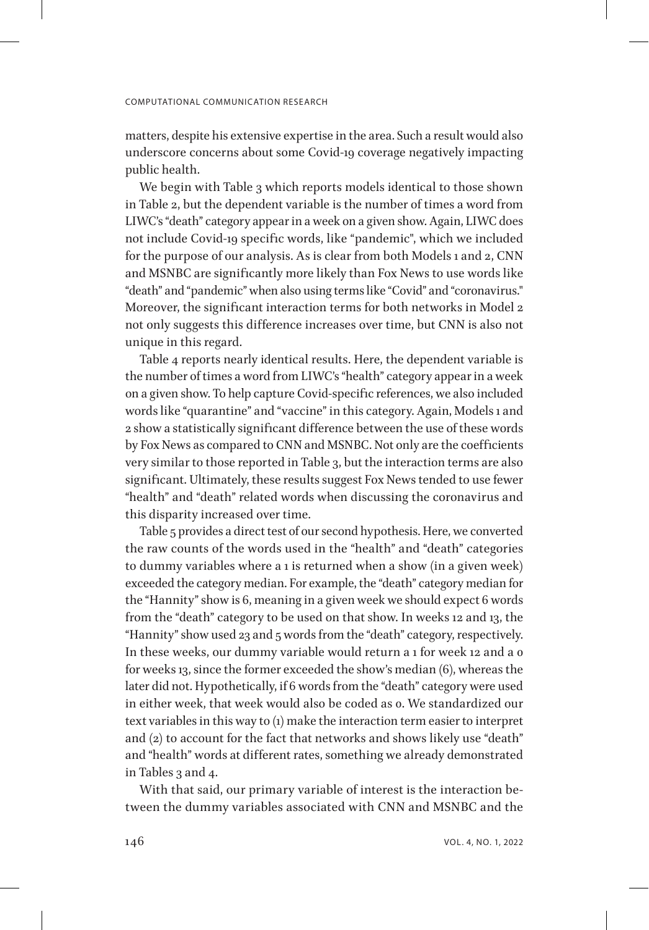matters, despite his extensive expertise in the area. Such a result would also underscore concerns about some Covid-19 coverage negatively impacting public health.

We begin with Table 3 which reports models identical to those shown in Table 2, but the dependent variable is the number of times a word from LIWC's "death" category appear in a week on a given show. Again, LIWC does not include Covid-19 specific words, like "pandemic", which we included for the purpose of our analysis. As is clear from both Models 1 and 2, CNN and MSNBC are significantly more likely than Fox News to use words like "death" and "pandemic" when also using terms like "Covid" and "coronavirus." Moreover, the significant interaction terms for both networks in Model 2 not only suggests this difference increases over time, but CNN is also not unique in this regard.

Table 4 reports nearly identical results. Here, the dependent variable is the number of times a word from LIWC's "health" category appear in a week on a given show. To help capture Covid-specific references, we also included words like "quarantine" and "vaccine" in this category. Again, Models 1 and 2 show a statistically significant difference between the use of these words by Fox News as compared to CNN and MSNBC. Not only are the coefficients very similar to those reported in Table 3, but the interaction terms are also significant. Ultimately, these results suggest Fox News tended to use fewer "health" and "death" related words when discussing the coronavirus and this disparity increased over time.

Table 5 provides a direct test of our second hypothesis. Here, we converted the raw counts of the words used in the "health" and "death" categories to dummy variables where a 1 is returned when a show (in a given week) exceeded the category median. For example, the "death" category median for the "Hannity" show is 6, meaning in a given week we should expect 6 words from the "death" category to be used on that show. In weeks 12 and 13, the "Hannity" show used 23 and 5 words from the "death" category, respectively. In these weeks, our dummy variable would return a 1 for week 12 and a 0 for weeks 13, since the former exceeded the show's median (6), whereas the later did not. Hypothetically, if 6 words from the "death" category were used in either week, that week would also be coded as 0. We standardized our text variables in this way to (1) make the interaction term easier to interpret and (2) to account for the fact that networks and shows likely use "death" and "health" words at different rates, something we already demonstrated in Tables 3 and 4.

With that said, our primary variable of interest is the interaction between the dummy variables associated with CNN and MSNBC and the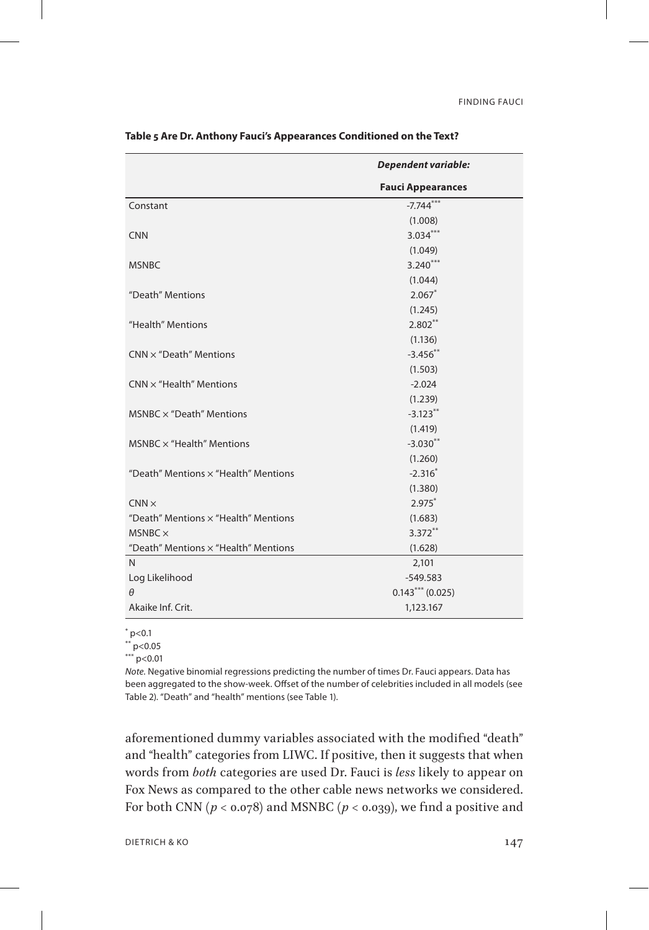|                                      | <b>Dependent variable:</b> |
|--------------------------------------|----------------------------|
|                                      | <b>Fauci Appearances</b>   |
| Constant                             | $-7.744***$                |
|                                      | (1.008)                    |
| <b>CNN</b>                           | $3.034***$                 |
|                                      | (1.049)                    |
| <b>MSNBC</b>                         | $3.240***$                 |
|                                      | (1.044)                    |
| "Death" Mentions                     | $2.067*$                   |
|                                      | (1.245)                    |
| "Health" Mentions                    | $2.802**$                  |
|                                      | (1.136)                    |
| $CNN \times$ "Death" Mentions        | $-3.456$ **                |
|                                      | (1.503)                    |
| $CNN \times$ "Health" Mentions       | $-2.024$                   |
|                                      | (1.239)                    |
| $MSNBC \times "Death"$ Mentions      | $-3.123**$                 |
|                                      | (1.419)                    |
| MSNBC $\times$ "Health" Mentions     | $-3.030**$                 |
|                                      | (1.260)                    |
| "Death" Mentions x "Health" Mentions | $-2.316*$                  |
|                                      | (1.380)                    |
| $CNN \times$                         | $2.975*$                   |
| "Death" Mentions x "Health" Mentions | (1.683)                    |
| $MSNBC \times$                       | $3.372**$                  |
| "Death" Mentions x "Health" Mentions | (1.628)                    |
| N                                    | 2,101                      |
| Log Likelihood                       | $-549.583$                 |
| $\theta$                             | $0.143***(0.025)$          |
| Akaike Inf. Crit.                    | 1,123.167                  |

**Table 5 Are Dr. Anthony Fauci's Appearances Conditioned on the Text?**

 $*$  p<0.1

\*\* p<0.05

\*\*\* p<0.01

*Note.* Negative binomial regressions predicting the number of times Dr. Fauci appears. Data has been aggregated to the show-week. Offset of the number of celebrities included in all models (see Table 2). "Death" and "health" mentions (see Table 1).

aforementioned dummy variables associated with the modified "death" and "health" categories from LIWC. If positive, then it suggests that when words from *both* categories are used Dr. Fauci is *less* likely to appear on Fox News as compared to the other cable news networks we considered. For both CNN  $(p < 0.078)$  and MSNBC  $(p < 0.039)$ , we find a positive and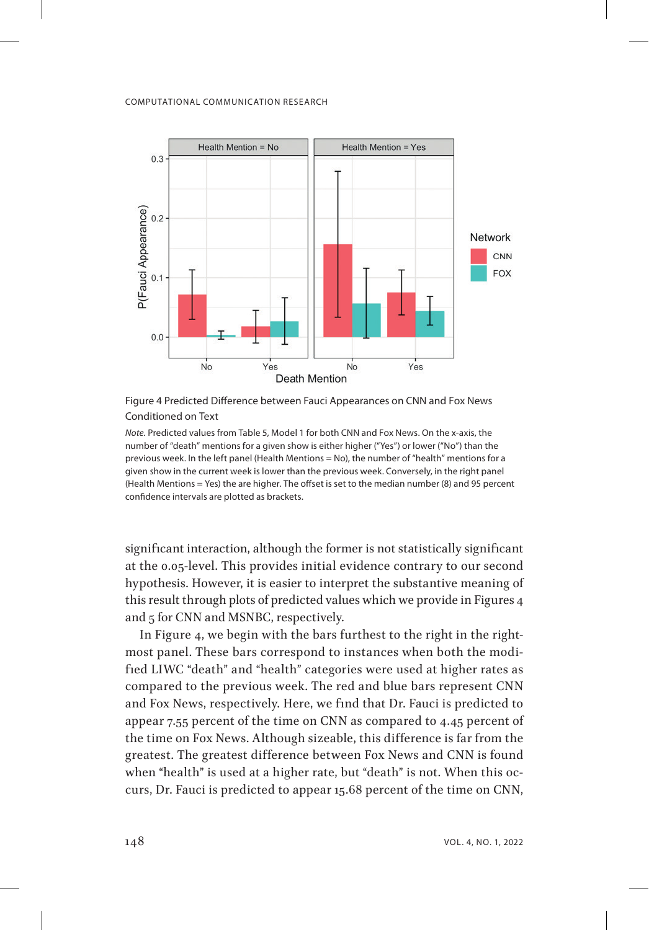

Figure 4 Predicted Difference between Fauci Appearances on CNN and Fox News Conditioned on Text

*Note.* Predicted values from Table 5, Model 1 for both CNN and Fox News. On the x-axis, the number of "death" mentions for a given show is either higher ("Yes") or lower ("No") than the previous week. In the left panel (Health Mentions = No), the number of "health" mentions for a given show in the current week is lower than the previous week. Conversely, in the right panel (Health Mentions = Yes) the are higher. The offset is set to the median number (8) and 95 percent confidence intervals are plotted as brackets.

significant interaction, although the former is not statistically significant at the 0.05-level. This provides initial evidence contrary to our second hypothesis. However, it is easier to interpret the substantive meaning of this result through plots of predicted values which we provide in Figures 4 and 5 for CNN and MSNBC, respectively.

In Figure 4, we begin with the bars furthest to the right in the rightmost panel. These bars correspond to instances when both the modified LIWC "death" and "health" categories were used at higher rates as compared to the previous week. The red and blue bars represent CNN and Fox News, respectively. Here, we find that Dr. Fauci is predicted to appear 7.55 percent of the time on CNN as compared to 4.45 percent of the time on Fox News. Although sizeable, this difference is far from the greatest. The greatest difference between Fox News and CNN is found when "health" is used at a higher rate, but "death" is not. When this occurs, Dr. Fauci is predicted to appear 15.68 percent of the time on CNN,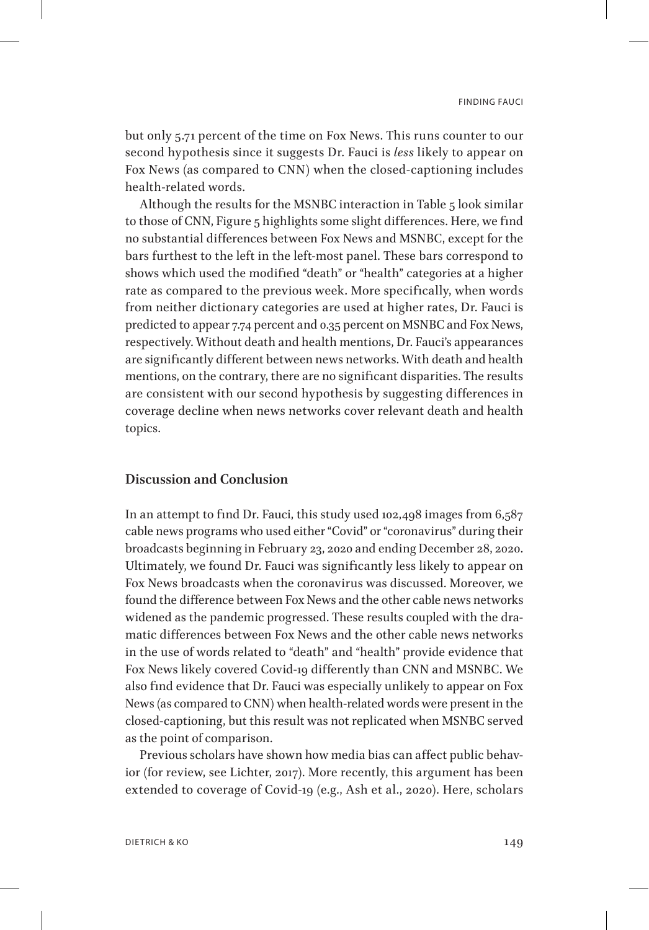but only 5.71 percent of the time on Fox News. This runs counter to our second hypothesis since it suggests Dr. Fauci is *less* likely to appear on Fox News (as compared to CNN) when the closed-captioning includes health-related words.

Although the results for the MSNBC interaction in Table 5 look similar to those of CNN, Figure 5 highlights some slight differences. Here, we find no substantial differences between Fox News and MSNBC, except for the bars furthest to the left in the left-most panel. These bars correspond to shows which used the modified "death" or "health" categories at a higher rate as compared to the previous week. More specifically, when words from neither dictionary categories are used at higher rates, Dr. Fauci is predicted to appear 7.74 percent and 0.35 percent on MSNBC and Fox News, respectively. Without death and health mentions, Dr. Fauci's appearances are significantly different between news networks. With death and health mentions, on the contrary, there are no significant disparities. The results are consistent with our second hypothesis by suggesting differences in coverage decline when news networks cover relevant death and health topics.

## **Discussion and Conclusion**

In an attempt to find Dr. Fauci, this study used 102,498 images from 6,587 cable news programs who used either "Covid" or "coronavirus" during their broadcasts beginning in February 23, 2020 and ending December 28, 2020. Ultimately, we found Dr. Fauci was significantly less likely to appear on Fox News broadcasts when the coronavirus was discussed. Moreover, we found the difference between Fox News and the other cable news networks widened as the pandemic progressed. These results coupled with the dramatic differences between Fox News and the other cable news networks in the use of words related to "death" and "health" provide evidence that Fox News likely covered Covid-19 differently than CNN and MSNBC. We also find evidence that Dr. Fauci was especially unlikely to appear on Fox News (as compared to CNN) when health-related words were present in the closed-captioning, but this result was not replicated when MSNBC served as the point of comparison.

Previous scholars have shown how media bias can affect public behavior (for review, see Lichter, 2017). More recently, this argument has been extended to coverage of Covid-19 (e.g., Ash et al., 2020). Here, scholars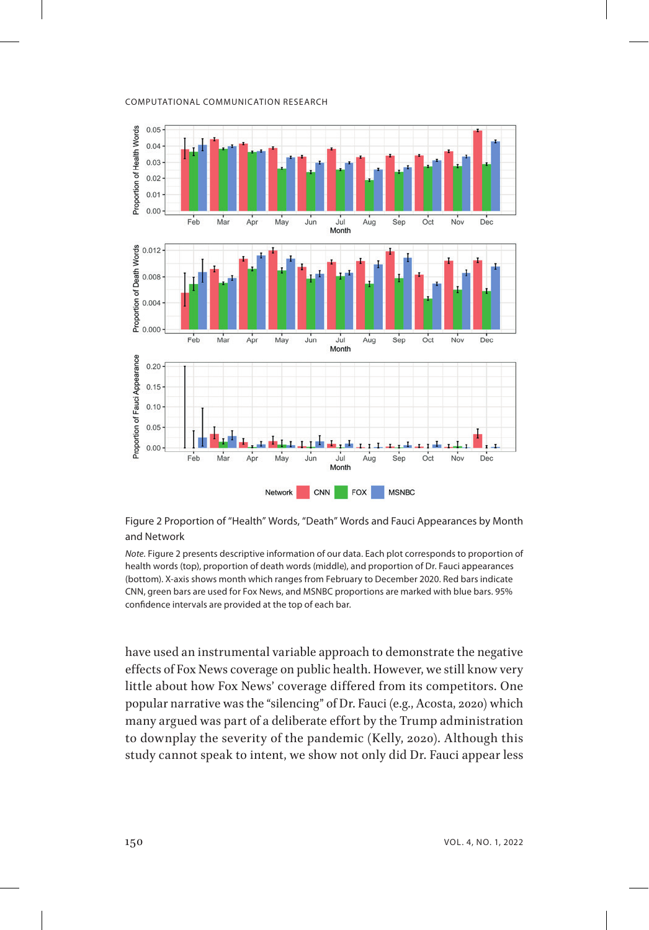

Figure 2 Proportion of "Health" Words, "Death" Words and Fauci Appearances by Month and Network

*Note.* Figure 2 presents descriptive information of our data. Each plot corresponds to proportion of health words (top), proportion of death words (middle), and proportion of Dr. Fauci appearances (bottom). X-axis shows month which ranges from February to December 2020. Red bars indicate CNN, green bars are used for Fox News, and MSNBC proportions are marked with blue bars. 95% confidence intervals are provided at the top of each bar.

have used an instrumental variable approach to demonstrate the negative effects of Fox News coverage on public health. However, we still know very little about how Fox News' coverage differed from its competitors. One popular narrative was the "silencing" of Dr. Fauci (e.g., Acosta, 2020) which many argued was part of a deliberate effort by the Trump administration to downplay the severity of the pandemic (Kelly, 2020). Although this study cannot speak to intent, we show not only did Dr. Fauci appear less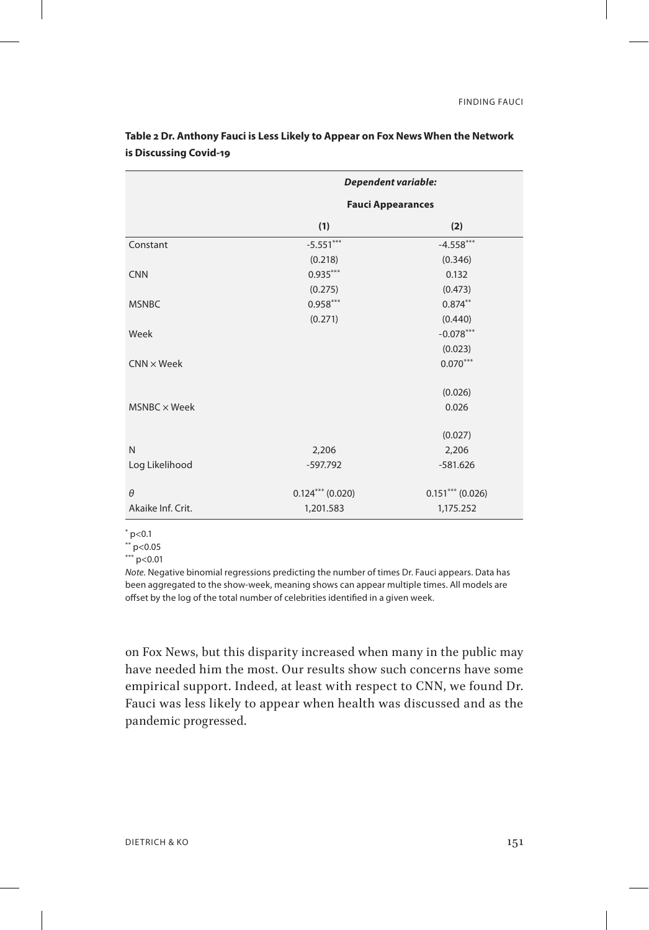|                     | Dependent variable:      |                    |  |  |
|---------------------|--------------------------|--------------------|--|--|
|                     | <b>Fauci Appearances</b> |                    |  |  |
|                     | (1)<br>(2)               |                    |  |  |
| Constant            | $-5.551***$              | $-4.558***$        |  |  |
|                     | (0.218)                  | (0.346)            |  |  |
| <b>CNN</b>          | $0.935***$               | 0.132              |  |  |
|                     | (0.275)                  | (0.473)            |  |  |
| <b>MSNBC</b>        | $0.958***$               | $0.874***$         |  |  |
|                     | (0.271)                  | (0.440)            |  |  |
| Week                |                          | $-0.078***$        |  |  |
|                     |                          | (0.023)            |  |  |
| $CNN \times Week$   |                          | $0.070***$         |  |  |
|                     |                          | (0.026)            |  |  |
| $MSNBC \times Week$ |                          | 0.026              |  |  |
|                     |                          | (0.027)            |  |  |
| N                   | 2,206                    | 2,206              |  |  |
| Log Likelihood      | $-597.792$               | $-581.626$         |  |  |
| $\theta$            | $0.124***$ (0.020)       | $0.151***$ (0.026) |  |  |
| Akaike Inf. Crit.   | 1,201.583                | 1,175.252          |  |  |

**Table 2 Dr. Anthony Fauci is Less Likely to Appear on Fox News When the Network is Discussing Covid-19**

 $*$  p<0.1

 $*$  $p < 0.05$ 

 $k^{***}$  p<0.01

*Note.* Negative binomial regressions predicting the number of times Dr. Fauci appears. Data has been aggregated to the show-week, meaning shows can appear multiple times. All models are offset by the log of the total number of celebrities identified in a given week.

on Fox News, but this disparity increased when many in the public may have needed him the most. Our results show such concerns have some empirical support. Indeed, at least with respect to CNN, we found Dr. Fauci was less likely to appear when health was discussed and as the pandemic progressed.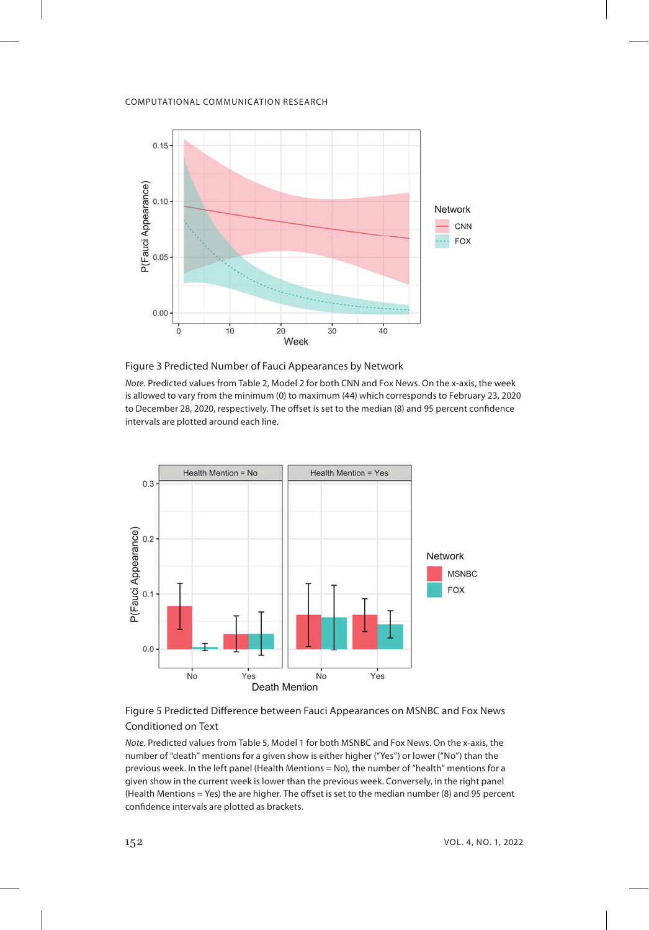

Figure 3 Predicted Number of Fauci Appearances by Network

*Note.* Predicted values from Table 2, Model 2 for both CNN and Fox News. On the x-axis, the week is allowed to vary from the minimum (0) to maximum (44) which corresponds to February 23, 2020 to December 28, 2020, respectively. The offset is set to the median (8) and 95 percent confidence intervals are plotted around each line.



Figure 5 Predicted Difference between Fauci Appearances on MSNBC and Fox News Conditioned on Text

*Note.* Predicted values from Table 5, Model 1 for both MSNBC and Fox News. On the x-axis, the number of "death" mentions for a given show is either higher ("Yes") or lower ("No") than the previous week. In the left panel (Health Mentions = No), the number of "health" mentions for a given show in the current week is lower than the previous week. Conversely, in the right panel (Health Mentions = Yes) the are higher. The offset is set to the median number (8) and 95 percent confidence intervals are plotted as brackets.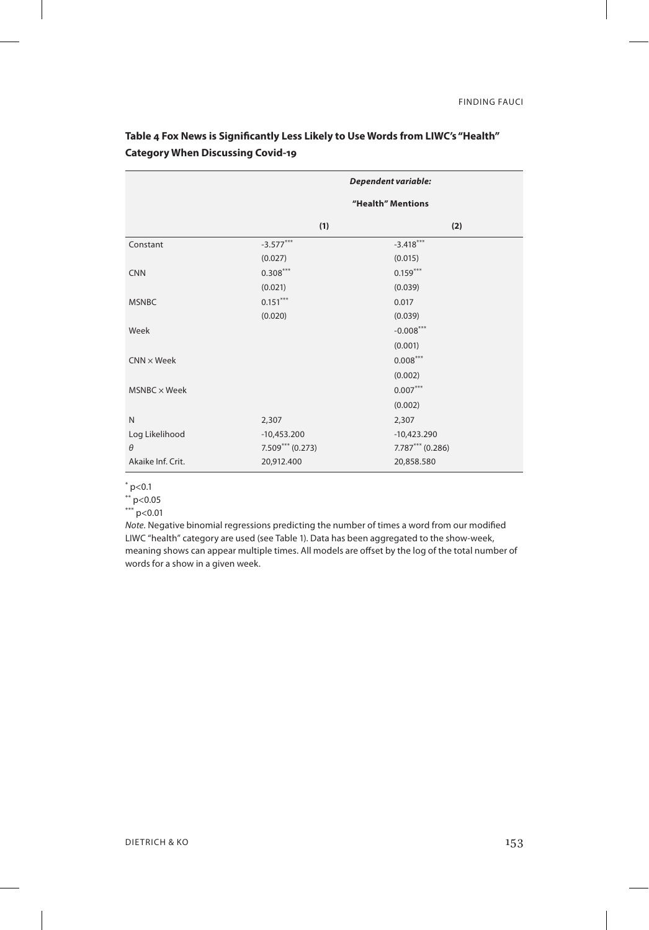|                     | Dependent variable: |                    |  |
|---------------------|---------------------|--------------------|--|
|                     | "Health" Mentions   |                    |  |
|                     | (1)                 | (2)                |  |
| Constant            | $-3.577***$         | $-3.418***$        |  |
|                     | (0.027)             | (0.015)            |  |
| <b>CNN</b>          | $0.308***$          | $0.159***$         |  |
|                     | (0.021)             | (0.039)            |  |
| <b>MSNBC</b>        | $0.151***$          | 0.017              |  |
|                     | (0.020)             | (0.039)            |  |
| Week                |                     | $-0.008***$        |  |
|                     |                     | (0.001)            |  |
| $CNN \times Week$   |                     | $0.008***$         |  |
|                     |                     | (0.002)            |  |
| $MSNBC \times Week$ |                     | $0.007***$         |  |
|                     |                     | (0.002)            |  |
| N                   | 2,307               | 2,307              |  |
| Log Likelihood      | $-10,453.200$       | $-10,423.290$      |  |
| $\theta$            | $7.509***$ (0.273)  | $7.787***$ (0.286) |  |
| Akaike Inf. Crit.   | 20,912.400          | 20,858.580         |  |

**Table 4 Fox News is Significantly Less Likely to Use Words from LIWC's "Health" Category When Discussing Covid-19**

 $*$  p<0.1

 $*$  p<0.05

 $k^{***}$  p<0.01

*Note.* Negative binomial regressions predicting the number of times a word from our modified LIWC "health" category are used (see Table 1). Data has been aggregated to the show-week, meaning shows can appear multiple times. All models are offset by the log of the total number of words for a show in a given week.

 $\overline{1}$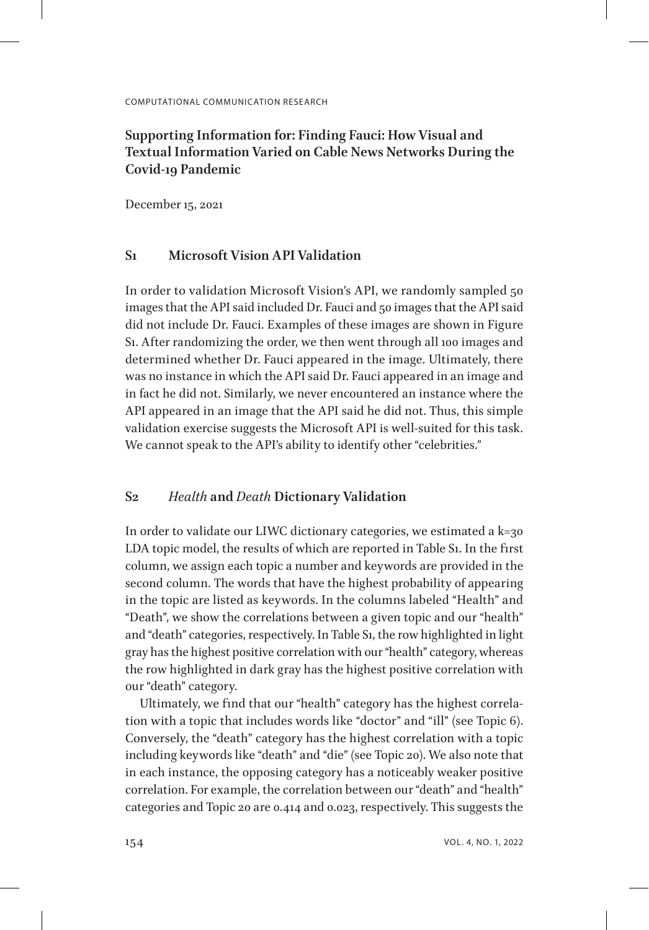# **Supporting Information for: Finding Fauci: How Visual and Textual Information Varied on Cable News Networks During the Covid-19 Pandemic**

December 15, 2021

# **S1 Microsoft Vision API Validation**

In order to validation Microsoft Vision's API, we randomly sampled 50 images that the API said included Dr. Fauci and 50 images that the API said did not include Dr. Fauci. Examples of these images are shown in Figure S1. After randomizing the order, we then went through all 100 images and determined whether Dr. Fauci appeared in the image. Ultimately, there was no instance in which the API said Dr. Fauci appeared in an image and in fact he did not. Similarly, we never encountered an instance where the API appeared in an image that the API said he did not. Thus, this simple validation exercise suggests the Microsoft API is well-suited for this task. We cannot speak to the API's ability to identify other "celebrities."

## **S2** *Health* **and** *Death* **Dictionary Validation**

In order to validate our LIWC dictionary categories, we estimated a k=30 LDA topic model, the results of which are reported in Table S1. In the first column, we assign each topic a number and keywords are provided in the second column. The words that have the highest probability of appearing in the topic are listed as keywords. In the columns labeled "Health" and "Death", we show the correlations between a given topic and our "health" and "death" categories, respectively. In Table S1, the row highlighted in light gray has the highest positive correlation with our "health" category, whereas the row highlighted in dark gray has the highest positive correlation with our "death" category.

Ultimately, we find that our "health" category has the highest correlation with a topic that includes words like "doctor" and "ill" (see Topic 6). Conversely, the "death" category has the highest correlation with a topic including keywords like "death" and "die" (see Topic 20). We also note that in each instance, the opposing category has a noticeably weaker positive correlation. For example, the correlation between our "death" and "health" categories and Topic 20 are 0.414 and 0.023, respectively. This suggests the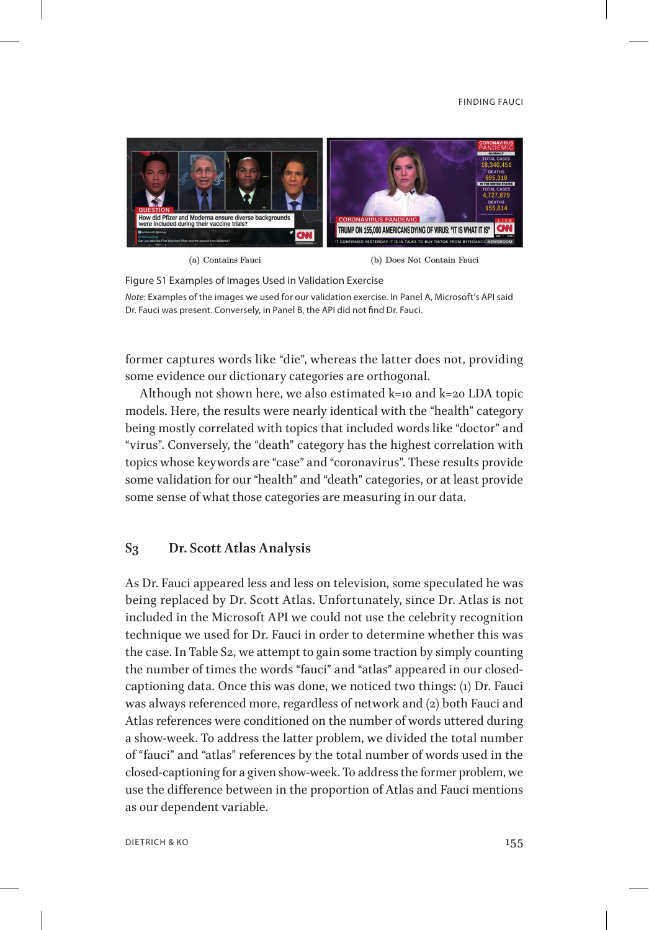### FINDING FAUCI



(a) Contains Fauci

(b) Does Not Contain Fauci

Figure S1 Examples of Images Used in Validation Exercise *Note*: Examples of the images we used for our validation exercise. In Panel A, Microsoft's API said Dr. Fauci was present. Conversely, in Panel B, the API did not find Dr. Fauci.

former captures words like "die", whereas the latter does not, providing some evidence our dictionary categories are orthogonal.

Although not shown here, we also estimated k=10 and k=20 LDA topic models. Here, the results were nearly identical with the "health" category being mostly correlated with topics that included words like "doctor" and "virus". Conversely, the "death" category has the highest correlation with topics whose keywords are "case" and "coronavirus". These results provide some validation for our "health" and "death" categories, or at least provide some sense of what those categories are measuring in our data.

## **S3 Dr. Scott Atlas Analysis**

As Dr. Fauci appeared less and less on television, some speculated he was being replaced by Dr. Scott Atlas. Unfortunately, since Dr. Atlas is not included in the Microsoft API we could not use the celebrity recognition technique we used for Dr. Fauci in order to determine whether this was the case. In Table S2, we attempt to gain some traction by simply counting the number of times the words "fauci" and "atlas" appeared in our closedcaptioning data. Once this was done, we noticed two things: (1) Dr. Fauci was always referenced more, regardless of network and (2) both Fauci and Atlas references were conditioned on the number of words uttered during a show-week. To address the latter problem, we divided the total number of "fauci" and "atlas" references by the total number of words used in the closed-captioning for a given show-week. To address the former problem, we use the difference between in the proportion of Atlas and Fauci mentions as our dependent variable.

DIETRICH & KO 155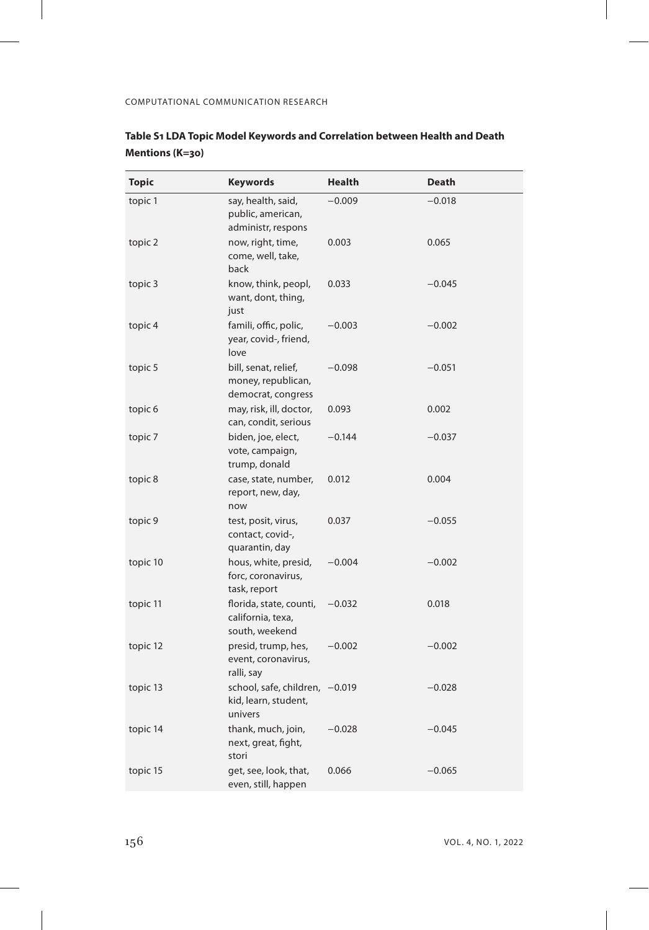$\overline{\phantom{a}}$ 

| Topic    | <b>Keywords</b>                                                   | Health   | Death    |
|----------|-------------------------------------------------------------------|----------|----------|
| topic 1  | say, health, said,<br>public, american,<br>administr, respons     | $-0.009$ | $-0.018$ |
| topic 2  | now, right, time,<br>come, well, take,<br>back                    | 0.003    | 0.065    |
| topic 3  | know, think, peopl,<br>want, dont, thing,<br>just                 | 0.033    | $-0.045$ |
| topic 4  | famili, offic, polic,<br>year, covid-, friend,<br>love            | $-0.003$ | $-0.002$ |
| topic 5  | bill, senat, relief,<br>money, republican,<br>democrat, congress  | $-0.098$ | $-0.051$ |
| topic 6  | may, risk, ill, doctor,<br>can, condit, serious                   | 0.093    | 0.002    |
| topic 7  | biden, joe, elect,<br>vote, campaign,<br>trump, donald            | $-0.144$ | $-0.037$ |
| topic 8  | case, state, number,<br>report, new, day,<br>now                  | 0.012    | 0.004    |
| topic 9  | test, posit, virus,<br>contact, covid-,<br>quarantin, day         | 0.037    | $-0.055$ |
| topic 10 | hous, white, presid,<br>forc, coronavirus,<br>task, report        | $-0.004$ | $-0.002$ |
| topic 11 | florida, state, counti,<br>california, texa,<br>south, weekend    | $-0.032$ | 0.018    |
| topic 12 | presid, trump, hes,<br>event, coronavirus,<br>ralli, say          | $-0.002$ | $-0.002$ |
| topic 13 | school, safe, children, -0.019<br>kid, learn, student,<br>univers |          | $-0.028$ |
| topic 14 | thank, much, join,<br>next, great, fight,<br>stori                | $-0.028$ | $-0.045$ |
| topic 15 | get, see, look, that,<br>even, still, happen                      | 0.066    | $-0.065$ |

# **Table S1 LDA Topic Model Keywords and Correlation between Health and Death Mentions (K=30)**

 $\overline{1}$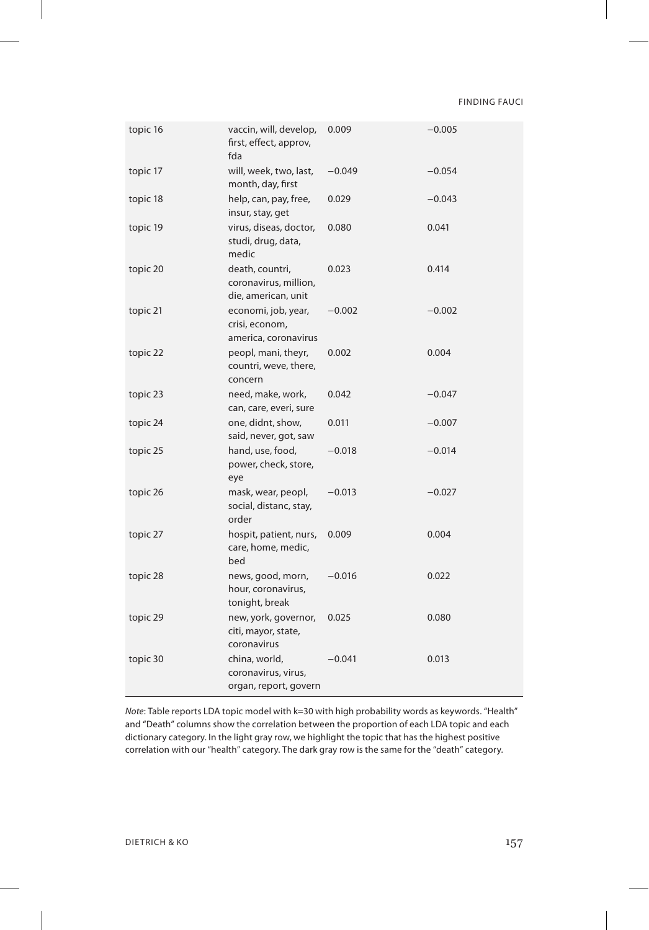FINDING FAUCI

| topic 16 | vaccin, will, develop,<br>first, effect, approv,<br>fda         | 0.009    | $-0.005$ |
|----------|-----------------------------------------------------------------|----------|----------|
| topic 17 | will, week, two, last,<br>month, day, first                     | $-0.049$ | $-0.054$ |
| topic 18 | help, can, pay, free,<br>insur, stay, get                       | 0.029    | $-0.043$ |
| topic 19 | virus, diseas, doctor,<br>studi, drug, data,<br>medic           | 0.080    | 0.041    |
| topic 20 | death, countri,<br>coronavirus, million,<br>die, american, unit | 0.023    | 0.414    |
| topic 21 | economi, job, year,<br>crisi, econom,<br>america, coronavirus   | $-0.002$ | $-0.002$ |
| topic 22 | peopl, mani, theyr,<br>countri, weve, there,<br>concern         | 0.002    | 0.004    |
| topic 23 | need, make, work,<br>can, care, everi, sure                     | 0.042    | $-0.047$ |
| topic 24 | one, didnt, show,<br>said, never, got, saw                      | 0.011    | $-0.007$ |
| topic 25 | hand, use, food,<br>power, check, store,<br>eye                 | $-0.018$ | $-0.014$ |
| topic 26 | mask, wear, peopl,<br>social, distanc, stay,<br>order           | $-0.013$ | $-0.027$ |
| topic 27 | hospit, patient, nurs,<br>care, home, medic,<br>bed             | 0.009    | 0.004    |
| topic 28 | news, good, morn,<br>hour, coronavirus,<br>tonight, break       | $-0.016$ | 0.022    |
| topic 29 | new, york, governor,<br>citi, mayor, state,<br>coronavirus      | 0.025    | 0.080    |
| topic 30 | china, world,<br>coronavirus, virus,<br>organ, report, govern   | $-0.041$ | 0.013    |

*Note*: Table reports LDA topic model with k=30 with high probability words as keywords. "Health" and "Death" columns show the correlation between the proportion of each LDA topic and each dictionary category. In the light gray row, we highlight the topic that has the highest positive correlation with our "health" category. The dark gray row is the same for the "death" category.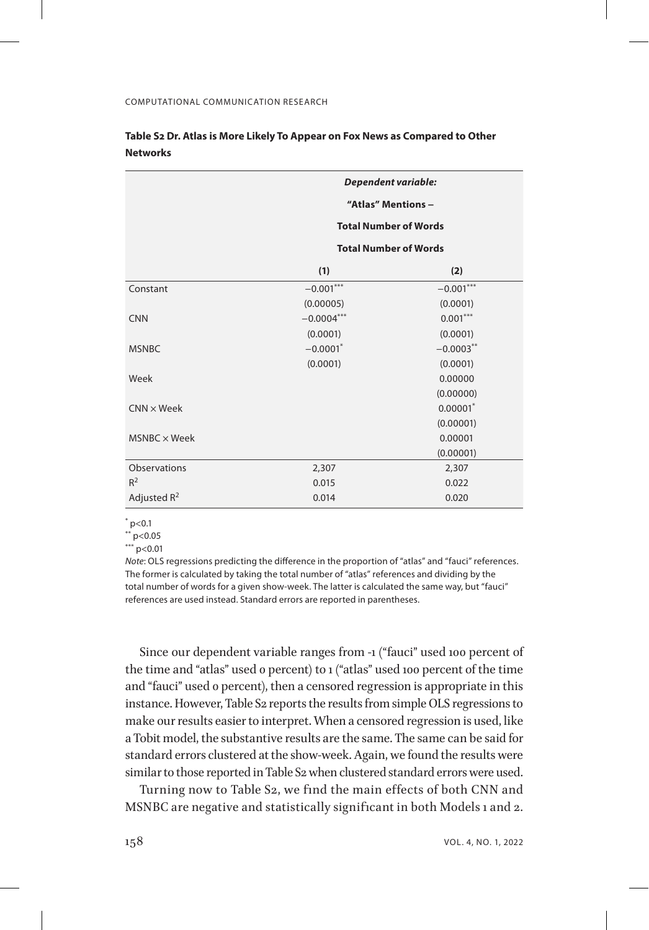|                     | Dependent variable:          |                              |  |
|---------------------|------------------------------|------------------------------|--|
|                     | "Atlas" Mentions -           |                              |  |
|                     | <b>Total Number of Words</b> |                              |  |
|                     |                              | <b>Total Number of Words</b> |  |
|                     | (1)                          | (2)                          |  |
| Constant            | $-0.001***$                  | $-0.001***$                  |  |
|                     | (0.00005)                    | (0.0001)                     |  |
| <b>CNN</b>          | $-0.0004***$                 | $0.001***$                   |  |
|                     | (0.0001)                     | (0.0001)                     |  |
| <b>MSNBC</b>        | $-0.0001$ *                  | $-0.0003$ **                 |  |
|                     | (0.0001)                     | (0.0001)                     |  |
| Week                |                              | 0.00000                      |  |
|                     |                              | (0.00000)                    |  |
| $CNN \times Week$   |                              | $0.00001^*$                  |  |
|                     |                              | (0.00001)                    |  |
| $MSNBC \times Week$ |                              | 0.00001                      |  |
|                     |                              | (0.00001)                    |  |
| Observations        | 2,307                        | 2,307                        |  |
| $R^2$               | 0.015                        | 0.022                        |  |
| Adjusted $R^2$      | 0.014                        | 0.020                        |  |

# **Table S2 Dr. Atlas is More Likely To Appear on Fox News as Compared to Other Networks**

 $*$  p<0.1

 $*$  $p$  < 0.05

 $***$  p<0.01

*Note*: OLS regressions predicting the difference in the proportion of "atlas" and "fauci" references. The former is calculated by taking the total number of "atlas" references and dividing by the total number of words for a given show-week. The latter is calculated the same way, but "fauci" references are used instead. Standard errors are reported in parentheses.

Since our dependent variable ranges from -1 ("fauci" used 100 percent of the time and "atlas" used 0 percent) to 1 ("atlas" used 100 percent of the time and "fauci" used 0 percent), then a censored regression is appropriate in this instance. However, Table S2 reports the results from simple OLS regressions to make our results easier to interpret. When a censored regression is used, like a Tobit model, the substantive results are the same. The same can be said for standard errors clustered at the show-week. Again, we found the results were similar to those reported in Table S2 when clustered standard errors were used.

Turning now to Table S2, we find the main effects of both CNN and MSNBC are negative and statistically significant in both Models 1 and 2.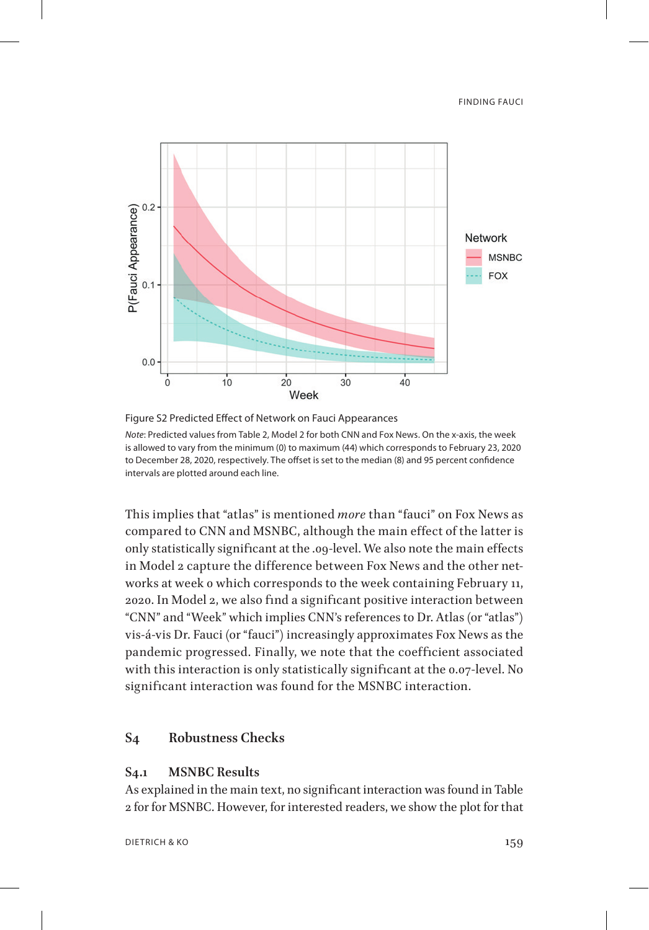FINDING FAUCI



Figure S2 Predicted Effect of Network on Fauci Appearances *Note*: Predicted values from Table 2, Model 2 for both CNN and Fox News. On the x-axis, the week is allowed to vary from the minimum (0) to maximum (44) which corresponds to February 23, 2020 to December 28, 2020, respectively. The offset is set to the median (8) and 95 percent confidence intervals are plotted around each line.

This implies that "atlas" is mentioned *more* than "fauci" on Fox News as compared to CNN and MSNBC, although the main effect of the latter is only statistically significant at the .09-level. We also note the main effects in Model 2 capture the difference between Fox News and the other networks at week 0 which corresponds to the week containing February 11, 2020. In Model 2, we also find a significant positive interaction between "CNN" and "Week" which implies CNN's references to Dr. Atlas (or "atlas") vis-á-vis Dr. Fauci (or "fauci") increasingly approximates Fox News as the pandemic progressed. Finally, we note that the coefficient associated with this interaction is only statistically significant at the 0.07-level. No significant interaction was found for the MSNBC interaction.

# **S4 Robustness Checks**

# **S4.1 MSNBC Results**

As explained in the main text, no significant interaction was found in Table 2 for for MSNBC. However, for interested readers, we show the plot for that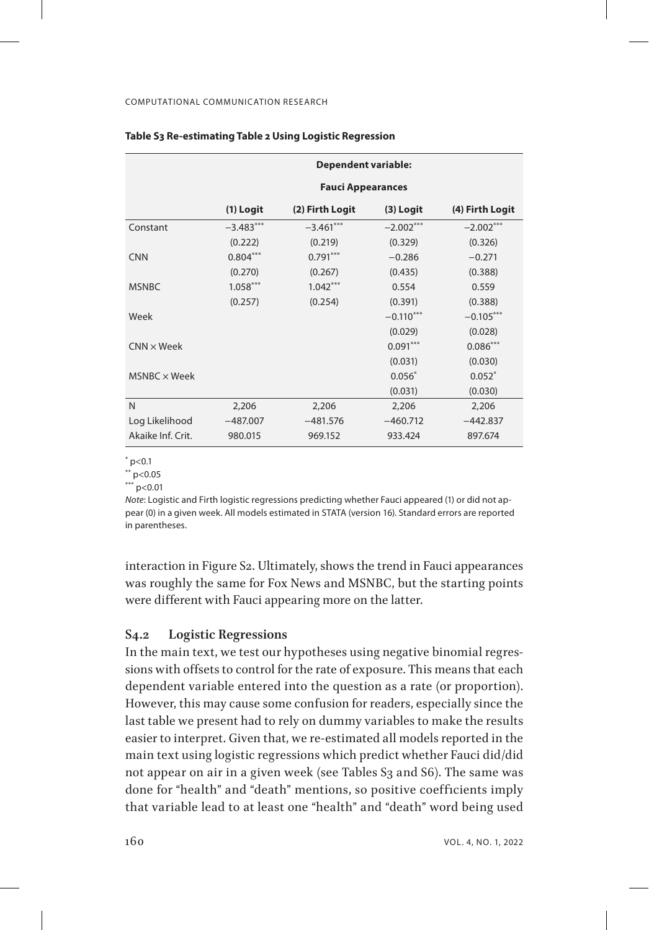|                     | <b>Dependent variable:</b> |                 |             |                 |
|---------------------|----------------------------|-----------------|-------------|-----------------|
|                     | <b>Fauci Appearances</b>   |                 |             |                 |
|                     | (1) Logit                  | (2) Firth Logit | $(3)$ Logit | (4) Firth Logit |
| Constant            | $-3.483***$                | $-3.461***$     | $-2.002***$ | $-2.002***$     |
|                     | (0.222)                    | (0.219)         | (0.329)     | (0.326)         |
| <b>CNN</b>          | $0.804***$                 | $0.791***$      | $-0.286$    | $-0.271$        |
|                     | (0.270)                    | (0.267)         | (0.435)     | (0.388)         |
| <b>MSNBC</b>        | $1.058***$                 | $1.042***$      | 0.554       | 0.559           |
|                     | (0.257)                    | (0.254)         | (0.391)     | (0.388)         |
| Week                |                            |                 | $-0.110***$ | $-0.105***$     |
|                     |                            |                 | (0.029)     | (0.028)         |
| $CNN \times Week$   |                            |                 | $0.091***$  | $0.086***$      |
|                     |                            |                 | (0.031)     | (0.030)         |
| $MSNBC \times Week$ |                            |                 | $0.056*$    | $0.052*$        |
|                     |                            |                 | (0.031)     | (0.030)         |
| N                   | 2,206                      | 2,206           | 2,206       | 2,206           |
| Log Likelihood      | $-487.007$                 | $-481.576$      | $-460.712$  | $-442.837$      |
| Akaike Inf. Crit.   | 980.015                    | 969.152         | 933.424     | 897.674         |

### **Table S3 Re-estimating Table 2 Using Logistic Regression**

\* p<0.1

\*\* p<0.05

 $***$  p<0.01

*Note*: Logistic and Firth logistic regressions predicting whether Fauci appeared (1) or did not appear (0) in a given week. All models estimated in STATA (version 16). Standard errors are reported in parentheses.

interaction in Figure S2. Ultimately, shows the trend in Fauci appearances was roughly the same for Fox News and MSNBC, but the starting points were different with Fauci appearing more on the latter.

## **S4.2 Logistic Regressions**

In the main text, we test our hypotheses using negative binomial regressions with offsets to control for the rate of exposure. This means that each dependent variable entered into the question as a rate (or proportion). However, this may cause some confusion for readers, especially since the last table we present had to rely on dummy variables to make the results easier to interpret. Given that, we re-estimated all models reported in the main text using logistic regressions which predict whether Fauci did/did not appear on air in a given week (see Tables S3 and S6). The same was done for "health" and "death" mentions, so positive coefficients imply that variable lead to at least one "health" and "death" word being used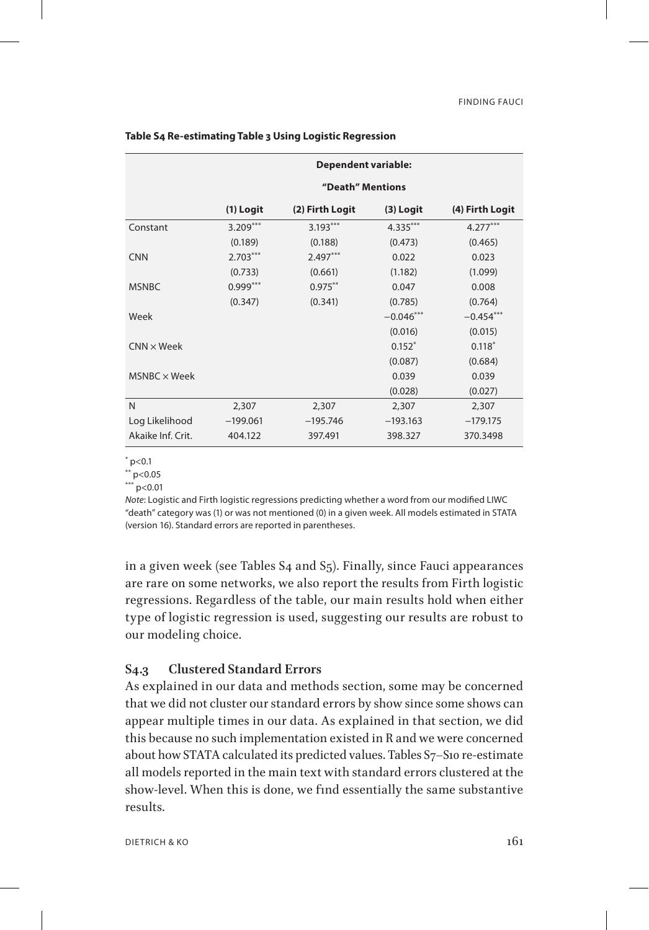|                   | <b>Dependent variable:</b> |                 |             |                 |
|-------------------|----------------------------|-----------------|-------------|-----------------|
|                   | "Death" Mentions           |                 |             |                 |
|                   | $(1)$ Logit                | (2) Firth Logit | $(3)$ Logit | (4) Firth Logit |
| Constant          | $3.209***$                 | $3.193***$      | $4.335***$  | $4.277***$      |
|                   | (0.189)                    | (0.188)         | (0.473)     | (0.465)         |
| <b>CNN</b>        | $2.703***$                 | $2.497***$      | 0.022       | 0.023           |
|                   | (0.733)                    | (0.661)         | (1.182)     | (1.099)         |
| <b>MSNBC</b>      | $0.999***$                 | $0.975***$      | 0.047       | 0.008           |
|                   | (0.347)                    | (0.341)         | (0.785)     | (0.764)         |
| Week              |                            |                 | $-0.046***$ | $-0.454***$     |
|                   |                            |                 | (0.016)     | (0.015)         |
| $CNN \times Week$ |                            |                 | $0.152*$    | $0.118*$        |
|                   |                            |                 | (0.087)     | (0.684)         |
| MSNBC × Week      |                            |                 | 0.039       | 0.039           |
|                   |                            |                 | (0.028)     | (0.027)         |
| N                 | 2,307                      | 2,307           | 2,307       | 2,307           |
| Log Likelihood    | $-199.061$                 | $-195.746$      | $-193.163$  | $-179.175$      |
| Akaike Inf. Crit. | 404.122                    | 397.491         | 398.327     | 370.3498        |

### **Table S4 Re-estimating Table 3 Using Logistic Regression**

\* p<0.1

\*\* p<0.05

 $***$  p<0.01

*Note*: Logistic and Firth logistic regressions predicting whether a word from our modified LIWC "death" category was (1) or was not mentioned (0) in a given week. All models estimated in STATA (version 16). Standard errors are reported in parentheses.

in a given week (see Tables S4 and S5). Finally, since Fauci appearances are rare on some networks, we also report the results from Firth logistic regressions. Regardless of the table, our main results hold when either type of logistic regression is used, suggesting our results are robust to our modeling choice.

# **S4.3 Clustered Standard Errors**

As explained in our data and methods section, some may be concerned that we did not cluster our standard errors by show since some shows can appear multiple times in our data. As explained in that section, we did this because no such implementation existed in R and we were concerned about how STATA calculated its predicted values. Tables S7–S10 re-estimate all models reported in the main text with standard errors clustered at the show-level. When this is done, we find essentially the same substantive results.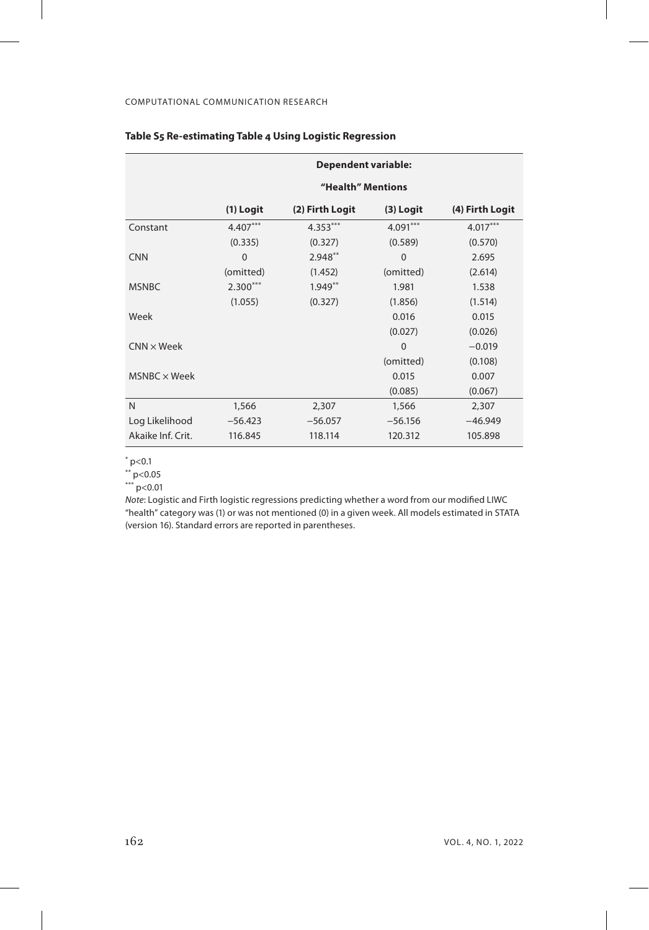|                     | <b>Dependent variable:</b> |                 |             |                 |
|---------------------|----------------------------|-----------------|-------------|-----------------|
|                     | "Health" Mentions          |                 |             |                 |
|                     | (1) Logit                  | (2) Firth Logit | $(3)$ Logit | (4) Firth Logit |
| Constant            | $4.407***$                 | $4.353***$      | $4.091***$  | $4.017***$      |
|                     | (0.335)                    | (0.327)         | (0.589)     | (0.570)         |
| <b>CNN</b>          | $\Omega$                   | $2.948**$       | $\mathbf 0$ | 2.695           |
|                     | (omitted)                  | (1.452)         | (omitted)   | (2.614)         |
| <b>MSNBC</b>        | $2.300***$                 | $1.949**$       | 1.981       | 1.538           |
|                     | (1.055)                    | (0.327)         | (1.856)     | (1.514)         |
| Week                |                            |                 | 0.016       | 0.015           |
|                     |                            |                 | (0.027)     | (0.026)         |
| $CNN \times Week$   |                            |                 | $\Omega$    | $-0.019$        |
|                     |                            |                 | (omitted)   | (0.108)         |
| $MSNBC \times Week$ |                            |                 | 0.015       | 0.007           |
|                     |                            |                 | (0.085)     | (0.067)         |
| N                   | 1,566                      | 2,307           | 1,566       | 2,307           |
| Log Likelihood      | $-56.423$                  | $-56.057$       | $-56.156$   | $-46.949$       |
| Akaike Inf. Crit.   | 116.845                    | 118.114         | 120.312     | 105.898         |

## **Table S5 Re-estimating Table 4 Using Logistic Regression**

\* p<0.1

\*\* p<0.05

\*\*\* p<0.01

*Note*: Logistic and Firth logistic regressions predicting whether a word from our modified LIWC "health" category was (1) or was not mentioned (0) in a given week. All models estimated in STATA (version 16). Standard errors are reported in parentheses.

 $\overline{1}$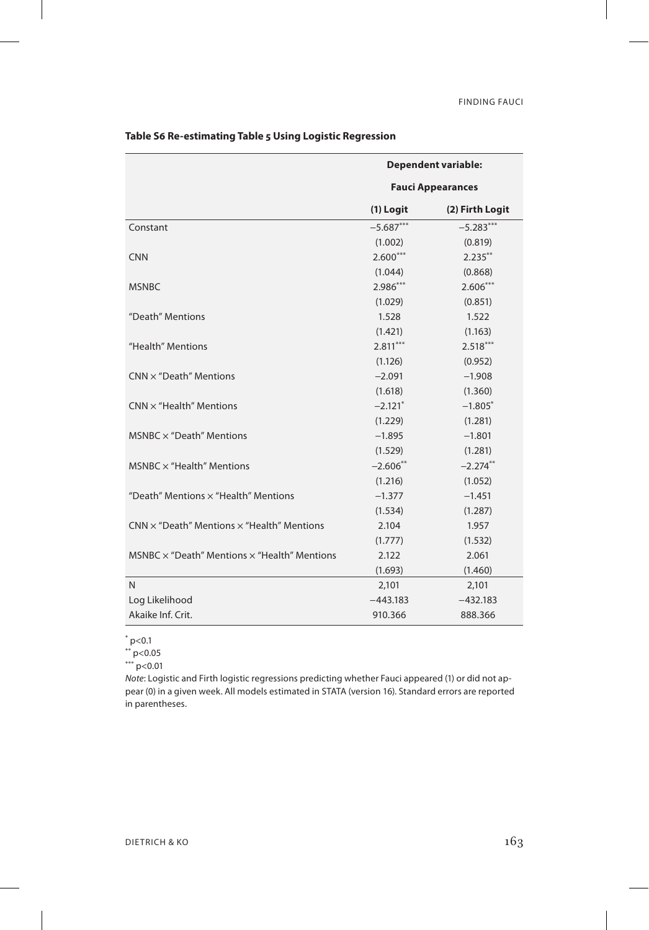|                                                            | <b>Dependent variable:</b><br><b>Fauci Appearances</b> |                 |
|------------------------------------------------------------|--------------------------------------------------------|-----------------|
|                                                            |                                                        |                 |
|                                                            | $(1)$ Logit                                            | (2) Firth Logit |
| Constant                                                   | $-5.687***$                                            | $-5.283***$     |
|                                                            | (1.002)                                                | (0.819)         |
| <b>CNN</b>                                                 | $2.600***$                                             | $2.235***$      |
|                                                            | (1.044)                                                | (0.868)         |
| <b>MSNBC</b>                                               | $2.986***$                                             | $2.606***$      |
|                                                            | (1.029)                                                | (0.851)         |
| "Death" Mentions                                           | 1.528                                                  | 1.522           |
|                                                            | (1.421)                                                | (1.163)         |
| "Health" Mentions                                          | $2.811***$                                             | $2.518***$      |
|                                                            | (1.126)                                                | (0.952)         |
| $CNN \times$ "Death" Mentions                              | $-2.091$                                               | $-1.908$        |
|                                                            | (1.618)                                                | (1.360)         |
| $CNN \times$ "Health" Mentions                             | $-2.121$ <sup>*</sup>                                  | $-1.805*$       |
|                                                            | (1.229)                                                | (1.281)         |
| MSNBC $\times$ "Death" Mentions                            | $-1.895$                                               | $-1.801$        |
|                                                            | (1.529)                                                | (1.281)         |
| MSNBC $\times$ "Health" Mentions                           | $-2.606**$                                             | $-2.274***$     |
|                                                            | (1.216)                                                | (1.052)         |
| "Death" Mentions x "Health" Mentions                       | $-1.377$                                               | $-1.451$        |
|                                                            | (1.534)                                                | (1.287)         |
| $CNN \times$ "Death" Mentions $\times$ "Health" Mentions   | 2.104                                                  | 1.957           |
|                                                            | (1.777)                                                | (1.532)         |
| MSNBC $\times$ "Death" Mentions $\times$ "Health" Mentions | 2.122                                                  | 2.061           |
|                                                            | (1.693)                                                | (1.460)         |
| $\mathsf{N}$                                               | 2,101                                                  | 2,101           |
| Log Likelihood                                             | $-443.183$                                             | $-432.183$      |
| Akaike Inf. Crit.                                          | 910.366                                                | 888.366         |

# **Table S6 Re-estimating Table 5 Using Logistic Regression**

 $*$  p<0.1

\*\* p<0.05

\*\*\* p<0.01

*Note*: Logistic and Firth logistic regressions predicting whether Fauci appeared (1) or did not appear (0) in a given week. All models estimated in STATA (version 16). Standard errors are reported in parentheses.

 $\overline{1}$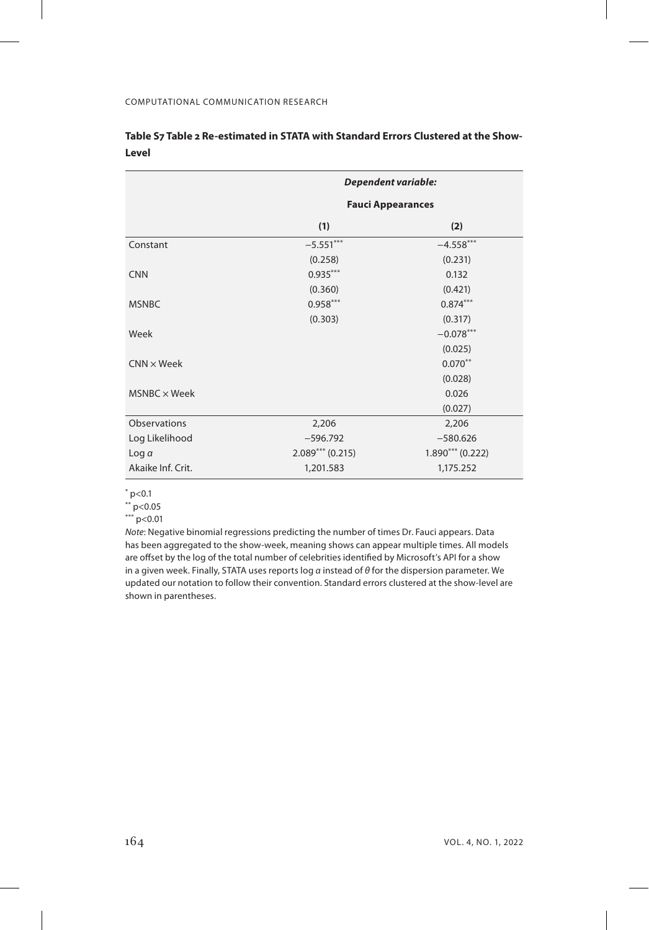|                     | Dependent variable:      |                    |
|---------------------|--------------------------|--------------------|
|                     | <b>Fauci Appearances</b> |                    |
|                     | (1)                      | (2)                |
| Constant            | $-5.551***$              | $-4.558***$        |
|                     | (0.258)                  | (0.231)            |
| <b>CNN</b>          | $0.935***$               | 0.132              |
|                     | (0.360)                  | (0.421)            |
| <b>MSNBC</b>        | $0.958***$               | $0.874***$         |
|                     | (0.303)                  | (0.317)            |
| Week                |                          | $-0.078***$        |
|                     |                          | (0.025)            |
| $CNN \times Week$   |                          | $0.070***$         |
|                     |                          | (0.028)            |
| $MSNBC \times Week$ |                          | 0.026              |
|                     |                          | (0.027)            |
| <b>Observations</b> | 2,206                    | 2,206              |
| Log Likelihood      | $-596.792$               | $-580.626$         |
| Log a               | $2.089***$ (0.215)       | $1.890***$ (0.222) |
| Akaike Inf. Crit.   | 1,201.583                | 1,175.252          |

## **Table S7 Table 2 Re-estimated in STATA with Standard Errors Clustered at the Show-Level**

 $*$  p<0.1

 $*$  p<0.05

 $P > 0.01$ 

*Note*: Negative binomial regressions predicting the number of times Dr. Fauci appears. Data has been aggregated to the show-week, meaning shows can appear multiple times. All models are offset by the log of the total number of celebrities identified by Microsoft's API for a show in a given week. Finally, STATA uses reports log *α* instead of *θ* for the dispersion parameter. We updated our notation to follow their convention. Standard errors clustered at the show-level are shown in parentheses.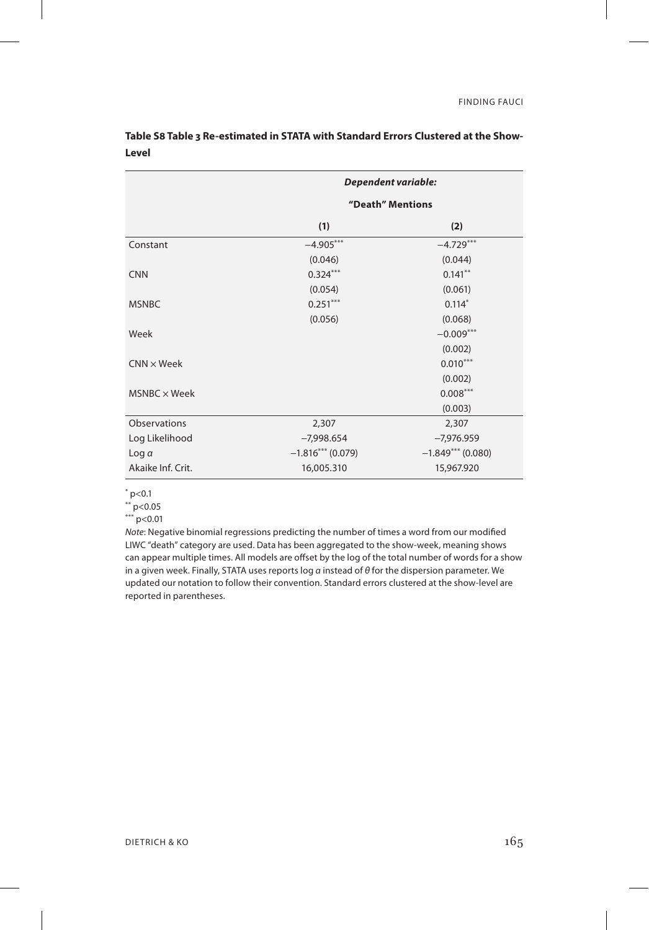|                     | <b>Dependent variable:</b> |                     |
|---------------------|----------------------------|---------------------|
|                     | "Death" Mentions           |                     |
|                     | (1)                        | (2)                 |
| Constant            | $-4.905***$                | $-4.729***$         |
|                     | (0.046)                    | (0.044)             |
| <b>CNN</b>          | $0.324***$                 | $0.141***$          |
|                     | (0.054)                    | (0.061)             |
| <b>MSNBC</b>        | $0.251***$                 | $0.114*$            |
|                     | (0.056)                    | (0.068)             |
| Week                |                            | $-0.009***$         |
|                     |                            | (0.002)             |
| $CNN \times Week$   |                            | $0.010***$          |
|                     |                            | (0.002)             |
| $MSNBC \times Week$ |                            | $0.008***$          |
|                     |                            | (0.003)             |
| <b>Observations</b> | 2,307                      | 2,307               |
| Log Likelihood      | $-7,998.654$               | $-7,976.959$        |
| Log $\alpha$        | $-1.816***$ (0.079)        | $-1.849***$ (0.080) |
| Akaike Inf. Crit.   | 16,005.310                 | 15,967.920          |

**Table S8 Table 3 Re-estimated in STATA with Standard Errors Clustered at the Show-Level**

 $*$  p<0.1

 $*$  p<0.05

 $P > 0.01$ 

*Note*: Negative binomial regressions predicting the number of times a word from our modified LIWC "death" category are used. Data has been aggregated to the show-week, meaning shows can appear multiple times. All models are offset by the log of the total number of words for a show in a given week. Finally, STATA uses reports log *α* instead of *θ* for the dispersion parameter. We updated our notation to follow their convention. Standard errors clustered at the show-level are reported in parentheses.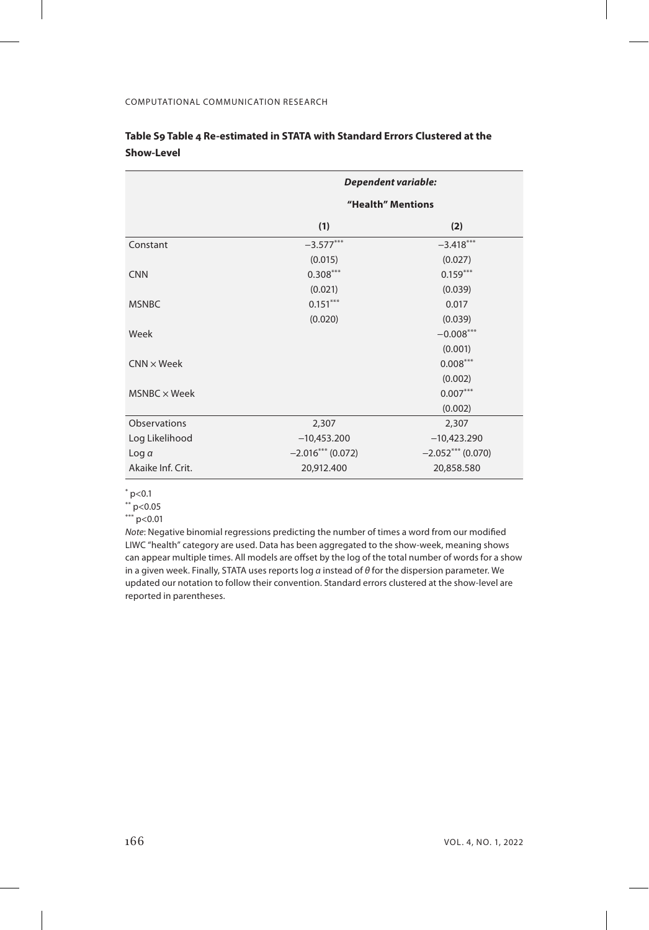|                     | Dependent variable: |                    |
|---------------------|---------------------|--------------------|
|                     | "Health" Mentions   |                    |
|                     | (1)                 | (2)                |
| Constant            | $-3.577***$         | $-3.418***$        |
|                     | (0.015)             | (0.027)            |
| <b>CNN</b>          | $0.308***$          | $0.159***$         |
|                     | (0.021)             | (0.039)            |
| <b>MSNBC</b>        | $0.151***$          | 0.017              |
|                     | (0.020)             | (0.039)            |
| Week                |                     | $-0.008***$        |
|                     |                     | (0.001)            |
| $CNN \times Week$   |                     | $0.008***$         |
|                     |                     | (0.002)            |
| $MSNBC \times Week$ |                     | $0.007***$         |
|                     |                     | (0.002)            |
| <b>Observations</b> | 2,307               | 2,307              |
| Log Likelihood      | $-10,453.200$       | $-10,423.290$      |
| Log a               | $-2.016***$ (0.072) | $-2.052***(0.070)$ |
| Akaike Inf. Crit.   | 20,912.400          | 20,858.580         |

## **Table S9 Table 4 Re-estimated in STATA with Standard Errors Clustered at the Show-Level**

 $*$  p<0.1

 $*$  p<0.05

 $P > 0.01$ 

*Note*: Negative binomial regressions predicting the number of times a word from our modified LIWC "health" category are used. Data has been aggregated to the show-week, meaning shows can appear multiple times. All models are offset by the log of the total number of words for a show in a given week. Finally, STATA uses reports log *α* instead of *θ* for the dispersion parameter. We updated our notation to follow their convention. Standard errors clustered at the show-level are reported in parentheses.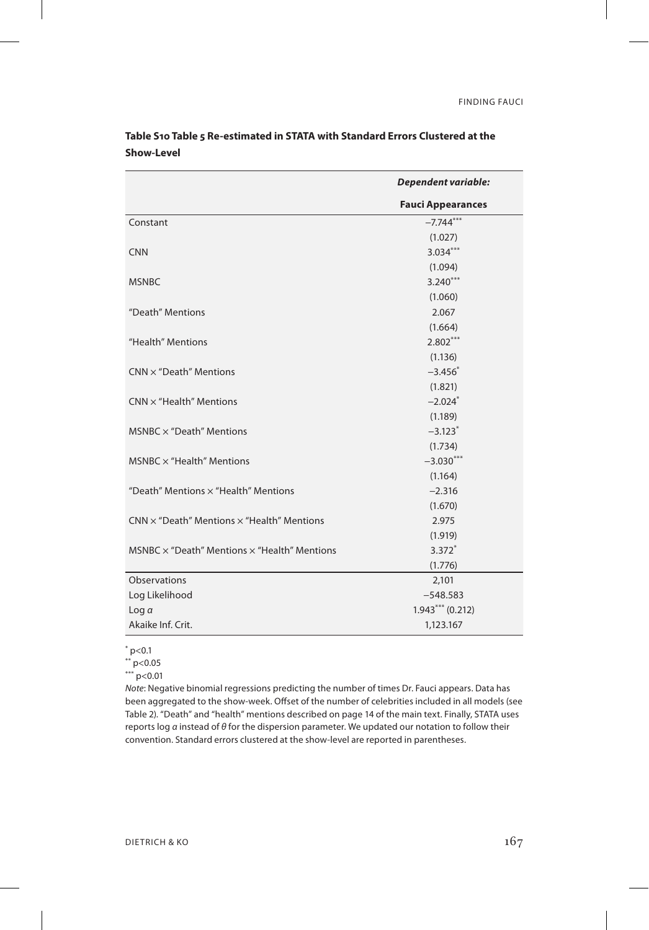|                                                            | Dependent variable:      |
|------------------------------------------------------------|--------------------------|
|                                                            | <b>Fauci Appearances</b> |
| Constant                                                   | $-7.744***$              |
|                                                            | (1.027)                  |
| <b>CNN</b>                                                 | $3.034***$               |
|                                                            | (1.094)                  |
| <b>MSNBC</b>                                               | $3.240***$               |
|                                                            | (1.060)                  |
| "Death" Mentions                                           | 2.067                    |
|                                                            | (1.664)                  |
| "Health" Mentions                                          | $2.802***$               |
|                                                            | (1.136)                  |
| $CNN \times$ "Death" Mentions                              | $-3.456*$                |
|                                                            | (1.821)                  |
| $CNN \times$ "Health" Mentions                             | $-2.024*$                |
|                                                            | (1.189)                  |
| MSNBC $\times$ "Death" Mentions                            | $-3.123$ <sup>*</sup>    |
|                                                            | (1.734)                  |
| $MSNBC \times$ "Health" Mentions                           | $-3.030***$              |
|                                                            | (1.164)                  |
| "Death" Mentions x "Health" Mentions                       | $-2.316$                 |
|                                                            | (1.670)                  |
| $CNN \times "Death"$ Mentions $\times$ "Health" Mentions   | 2.975                    |
|                                                            | (1.919)                  |
| $MSNBC \times$ "Death" Mentions $\times$ "Health" Mentions | $3.372*$                 |
|                                                            | (1.776)                  |
| Observations                                               | 2,101                    |
| Log Likelihood                                             | $-548.583$               |
| Log a                                                      | $1.943***(0.212)$        |
| Akaike Inf. Crit.                                          | 1,123.167                |

**Table S10 Table 5 Re-estimated in STATA with Standard Errors Clustered at the Show-Level**

 $*$  p<0.1

\*\* p<0.05

\*\*\* p<0.01

*Note*: Negative binomial regressions predicting the number of times Dr. Fauci appears. Data has been aggregated to the show-week. Offset of the number of celebrities included in all models (see Table 2). "Death" and "health" mentions described on page 14 of the main text. Finally, STATA uses reports log *α* instead of *θ* for the dispersion parameter. We updated our notation to follow their convention. Standard errors clustered at the show-level are reported in parentheses.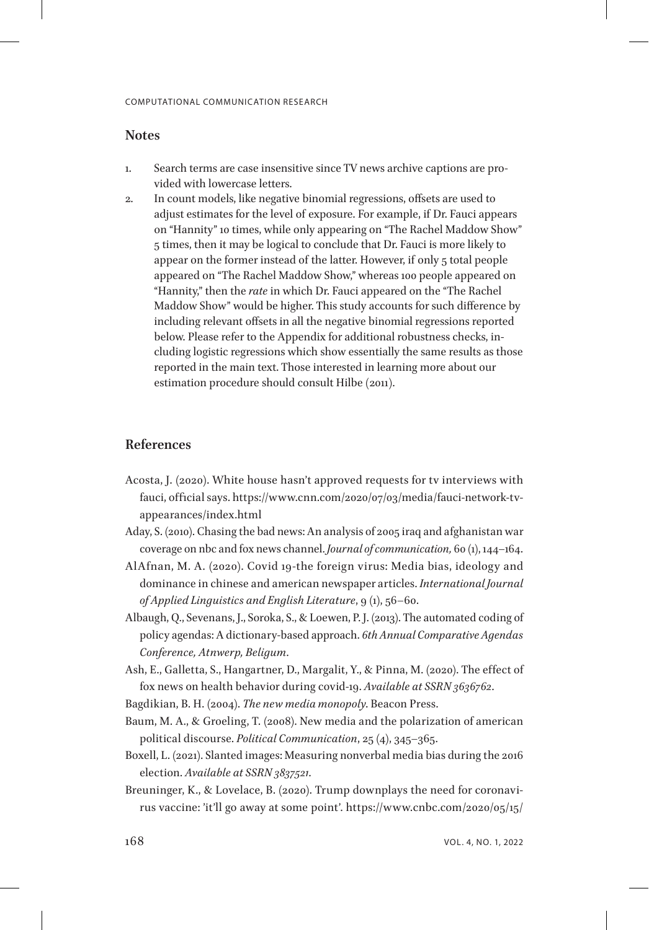## **Notes**

- <span id="page-33-0"></span>1. Search terms are case insensitive since TV news archive captions are provided with lowercase letters.
- <span id="page-33-1"></span>2. In count models, like negative binomial regressions, offsets are used to adjust estimates for the level of exposure. For example, if Dr. Fauci appears on "Hannity" 10 times, while only appearing on "The Rachel Maddow Show" 5 times, then it may be logical to conclude that Dr. Fauci is more likely to appear on the former instead of the latter. However, if only 5 total people appeared on "The Rachel Maddow Show," whereas 100 people appeared on "Hannity," then the *rate* in which Dr. Fauci appeared on the "The Rachel Maddow Show" would be higher. This study accounts for such difference by including relevant offsets in all the negative binomial regressions reported below. Please refer to the Appendix for additional robustness checks, including logistic regressions which show essentially the same results as those reported in the main text. Those interested in learning more about our estimation procedure should consult Hilbe (2011).

# **References**

- Acosta, J. (2020). White house hasn't approved requests for tv interviews with fauci, official says. https://www.cnn.com/2020/07/03/media/fauci-network-tvappearances/index.html
- Aday, S. (2010). Chasing the bad news: An analysis of 2005 iraq and afghanistan war coverage on nbc and fox news channel. *Journal of communication,* 60 (1), 144–164.
- AlAfnan, M. A. (2020). Covid 19-the foreign virus: Media bias, ideology and dominance in chinese and american newspaper articles. *International Journal of Applied Linguistics and English Literature*, 9 (1), 56–60.
- Albaugh, Q., Sevenans, J., Soroka, S., & Loewen, P. J. (2013). The automated coding of policy agendas: A dictionary-based approach. *6th Annual Comparative Agendas Conference, Atnwerp, Beligum*.
- Ash, E., Galletta, S., Hangartner, D., Margalit, Y., & Pinna, M. (2020). The effect of fox news on health behavior during covid-19. *Available at SSRN 3636762*.
- Bagdikian, B. H. (2004). *The new media monopoly*. Beacon Press.
- Baum, M. A., & Groeling, T. (2008). New media and the polarization of american political discourse. *Political Communication*, 25 (4), 345–365.
- Boxell, L. (2021). Slanted images: Measuring nonverbal media bias during the 2016 election. *Available at SSRN 3837521*.
- Breuninger, K., & Lovelace, B. (2020). Trump downplays the need for coronavirus vaccine: 'it'll go away at some point'. https://www.cnbc.com/2020/05/15/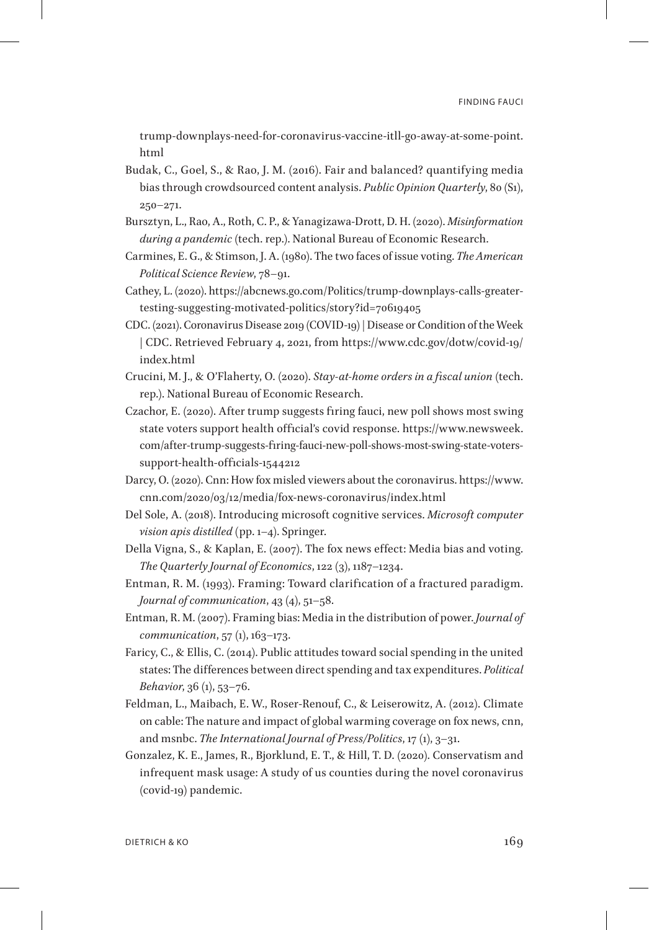trump-downplays-need-for-coronavirus-vaccine-itll-go-away-at-some-point. html

- Budak, C., Goel, S., & Rao, J. M. (2016). Fair and balanced? quantifying media bias through crowdsourced content analysis. *Public Opinion Quarterly*, 80 (S1), 250–271.
- Bursztyn, L., Rao, A., Roth, C. P., & Yanagizawa-Drott, D. H. (2020). *Misinformation during a pandemic* (tech. rep.). National Bureau of Economic Research.
- Carmines, E. G., & Stimson, J. A. (1980). The two faces of issue voting. *The American Political Science Review*, 78–91.
- Cathey, L. (2020). https://abcnews.go.com/Politics/trump-downplays-calls-greatertesting-suggesting-motivated-politics/story?id=70619405
- CDC. (2021). Coronavirus Disease 2019 (COVID-19) | Disease or Condition of the Week | CDC. Retrieved February 4, 2021, from https://www.cdc.gov/dotw/covid-19/ index.html
- Crucini, M. J., & O'Flaherty, O. (2020). *Stay-at-home orders in a fiscal union* (tech. rep.). National Bureau of Economic Research.
- Czachor, E. (2020). After trump suggests firing fauci, new poll shows most swing state voters support health official's covid response. https://www.newsweek. com/after-trump-suggests-firing-fauci-new-poll-shows-most-swing-state-voterssupport-health-officials-1544212
- Darcy, O. (2020). Cnn: How fox misled viewers about the coronavirus. https://www. cnn.com/2020/03/12/media/fox-news-coronavirus/index.html
- Del Sole, A. (2018). Introducing microsoft cognitive services. *Microsoft computer vision apis distilled* (pp. 1–4). Springer.
- Della Vigna, S., & Kaplan, E. (2007). The fox news effect: Media bias and voting. *The Quarterly Journal of Economics*, 122 (3), 1187–1234.
- Entman, R. M. (1993). Framing: Toward clarification of a fractured paradigm. *Journal of communication*, 43 (4), 51–58.
- Entman, R. M. (2007). Framing bias: Media in the distribution of power. *Journal of communication*, 57 (1), 163-173.
- Faricy, C., & Ellis, C. (2014). Public attitudes toward social spending in the united states: The differences between direct spending and tax expenditures. *Political Behavior*, 36 (1), 53–76.
- Feldman, L., Maibach, E. W., Roser-Renouf, C., & Leiserowitz, A. (2012). Climate on cable: The nature and impact of global warming coverage on fox news, cnn, and msnbc. *The International Journal of Press/Politics*, 17 (1), 3–31.
- Gonzalez, K. E., James, R., Bjorklund, E. T., & Hill, T. D. (2020). Conservatism and infrequent mask usage: A study of us counties during the novel coronavirus (covid-19) pandemic.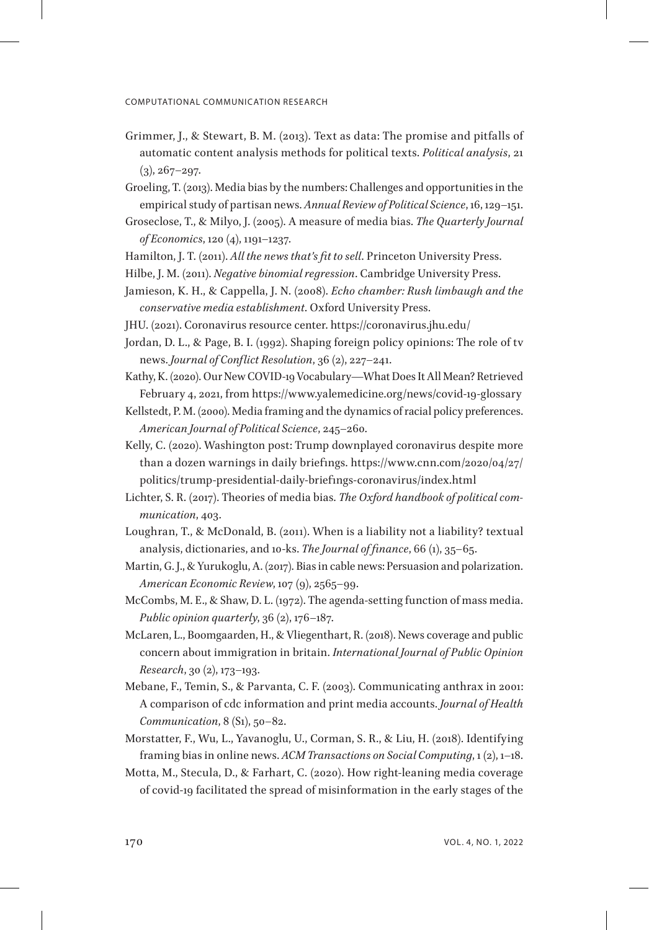- Grimmer, J., & Stewart, B. M. (2013). Text as data: The promise and pitfalls of automatic content analysis methods for political texts. *Political analysis*, 21  $(3), 267 - 297.$
- Groeling, T. (2013). Media bias by the numbers: Challenges and opportunities in the empirical study of partisan news. *Annual Review of Political Science*, 16, 129–151.
- Groseclose, T., & Milyo, J. (2005). A measure of media bias. *The Quarterly Journal of Economics*, 120 (4), 1191–1237.
- Hamilton, J. T. (2011). *All the news that's fit to sell*. Princeton University Press.
- Hilbe, J. M. (2011). *Negative binomial regression*. Cambridge University Press.
- Jamieson, K. H., & Cappella, J. N. (2008). *Echo chamber: Rush limbaugh and the conservative media establishment*. Oxford University Press.
- JHU. (2021). Coronavirus resource center. https://coronavirus.jhu.edu/
- Jordan, D. L., & Page, B. I. (1992). Shaping foreign policy opinions: The role of tv news. *Journal of Conflict Resolution*, 36 (2), 227–241.
- Kathy, K. (2020). Our New COVID-19 Vocabulary—What Does It All Mean? Retrieved February 4, 2021, from https://www.yalemedicine.org/news/covid-19-glossary
- Kellstedt, P. M. (2000). Media framing and the dynamics of racial policy preferences. *American Journal of Political Science*, 245–260.
- Kelly, C. (2020). Washington post: Trump downplayed coronavirus despite more than a dozen warnings in daily briefings. https://www.cnn.com/2020/04/27/ politics/trump-presidential-daily-briefings-coronavirus/index.html
- Lichter, S. R. (2017). Theories of media bias. *The Oxford handbook of political communication*, 403.
- Loughran, T., & McDonald, B. (2011). When is a liability not a liability? textual analysis, dictionaries, and 10-ks. *The Journal of finance*, 66 (1), 35–65.
- Martin, G. J., & Yurukoglu, A. (2017). Bias in cable news: Persuasion and polarization. *American Economic Review*, 107 (9), 2565–99.
- McCombs, M. E., & Shaw, D. L. (1972). The agenda-setting function of mass media. *Public opinion quarterly*, 36 (2), 176–187.
- McLaren, L., Boomgaarden, H., & Vliegenthart, R. (2018). News coverage and public concern about immigration in britain. *International Journal of Public Opinion Research*, 30 (2), 173–193.
- Mebane, F., Temin, S., & Parvanta, C. F. (2003). Communicating anthrax in 2001: A comparison of cdc information and print media accounts. *Journal of Health Communication*, 8 (S1), 50–82.
- Morstatter, F., Wu, L., Yavanoglu, U., Corman, S. R., & Liu, H. (2018). Identifying framing bias in online news. *ACM Transactions on Social Computing*, 1 (2), 1–18.
- Motta, M., Stecula, D., & Farhart, C. (2020). How right-leaning media coverage of covid-19 facilitated the spread of misinformation in the early stages of the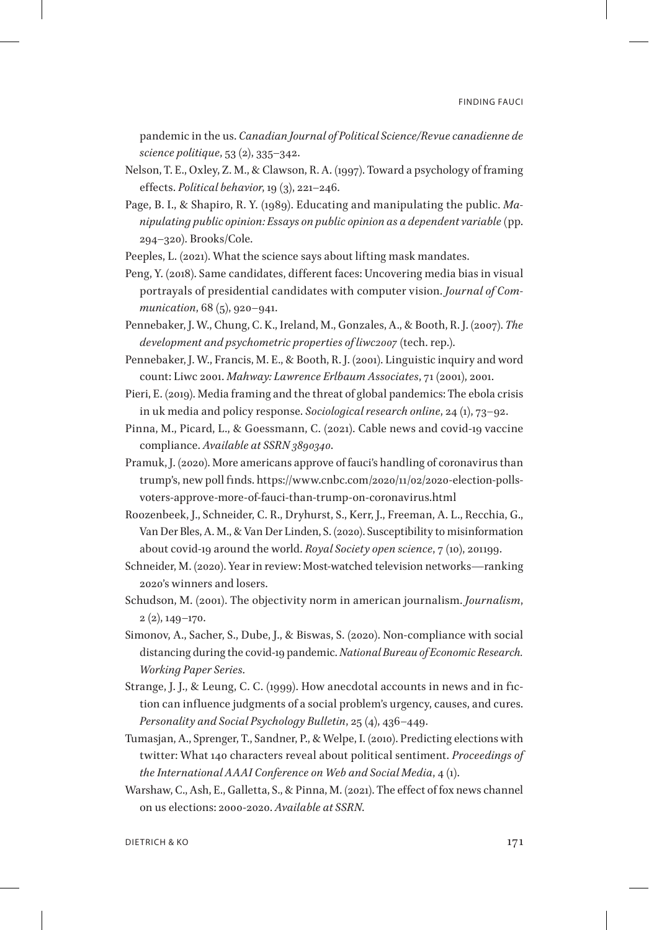pandemic in the us. *Canadian Journal of Political Science/Revue canadienne de science politique*, 53 (2), 335–342.

- Nelson, T. E., Oxley, Z. M., & Clawson, R. A. (1997). Toward a psychology of framing effects. *Political behavior*, 19 (3), 221–246.
- Page, B. I., & Shapiro, R. Y. (1989). Educating and manipulating the public. *Manipulating public opinion: Essays on public opinion as a dependent variable* (pp. 294–320). Brooks/Cole.

Peeples, L. (2021). What the science says about lifting mask mandates.

- Peng, Y. (2018). Same candidates, different faces: Uncovering media bias in visual portrayals of presidential candidates with computer vision. *Journal of Communication*, 68 (5), 920–941.
- Pennebaker, J. W., Chung, C. K., Ireland, M., Gonzales, A., & Booth, R. J. (2007). *The development and psychometric properties of liwc2007* (tech. rep.).
- Pennebaker, J. W., Francis, M. E., & Booth, R. J. (2001). Linguistic inquiry and word count: Liwc 2001. *Mahway: Lawrence Erlbaum Associates*, 71 (2001), 2001.
- Pieri, E. (2019). Media framing and the threat of global pandemics: The ebola crisis in uk media and policy response. *Sociological research online*, 24 (1), 73–92.
- Pinna, M., Picard, L., & Goessmann, C. (2021). Cable news and covid-19 vaccine compliance. *Available at SSRN 3890340*.
- Pramuk, J. (2020). More americans approve of fauci's handling of coronavirus than trump's, new poll finds. https://www.cnbc.com/2020/11/02/2020-election-pollsvoters-approve-more-of-fauci-than-trump-on-coronavirus.html
- Roozenbeek, J., Schneider, C. R., Dryhurst, S., Kerr, J., Freeman, A. L., Recchia, G., Van Der Bles, A. M., & Van Der Linden, S. (2020). Susceptibility to misinformation about covid-19 around the world. *Royal Society open science*, 7 (10), 201199.
- Schneider, M. (2020). Year in review: Most-watched television networks—ranking 2020's winners and losers.
- Schudson, M. (2001). The objectivity norm in american journalism. *Journalism*,  $2(2)$ , 149-170.
- Simonov, A., Sacher, S., Dube, J., & Biswas, S. (2020). Non-compliance with social distancing during the covid-19 pandemic. *National Bureau of Economic Research. Working Paper Series*.
- Strange, J. J., & Leung, C. C. (1999). How anecdotal accounts in news and in fiction can influence judgments of a social problem's urgency, causes, and cures. *Personality and Social Psychology Bulletin*, 25 (4), 436–449.
- Tumasjan, A., Sprenger, T., Sandner, P., & Welpe, I. (2010). Predicting elections with twitter: What 140 characters reveal about political sentiment. *Proceedings of the International AAAI Conference on Web and Social Media*, 4 (1).
- Warshaw, C., Ash, E., Galletta, S., & Pinna, M. (2021). The effect of fox news channel on us elections: 2000-2020. *Available at SSRN*.

DIETRICH & KO 171